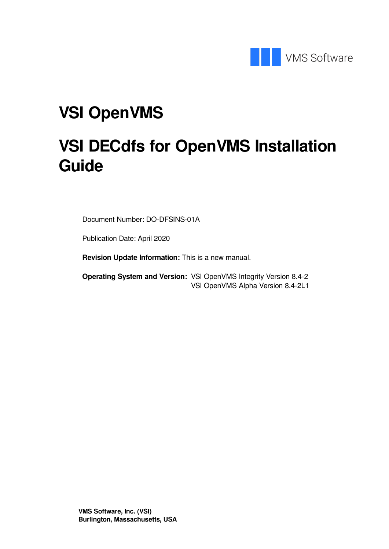

# **VSI OpenVMS**

# **VSI DECdfs for OpenVMS Installation Guide**

Document Number: DO-DFSINS-01A

Publication Date: April 2020

**Revision Update Information:** This is a new manual.

**Operating System and Version:** VSI OpenVMS Integrity Version 8.4-2 VSI OpenVMS Alpha Version 8.4-2L1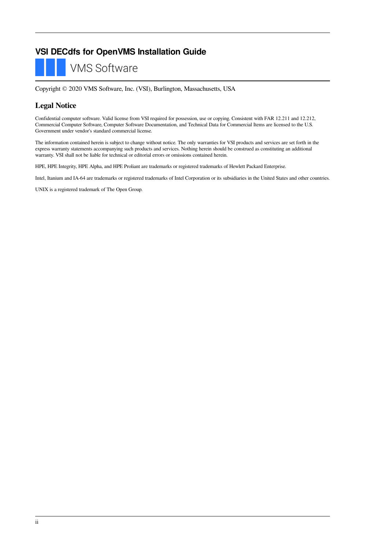#### **VSI DECdfs for OpenVMS Installation Guide**



Copyright © 2020 VMS Software, Inc. (VSI), Burlington, Massachusetts, USA

#### **Legal Notice**

Confidential computer software. Valid license from VSI required for possession, use or copying. Consistent with FAR 12.211 and 12.212, Commercial Computer Software, Computer Software Documentation, and Technical Data for Commercial Items are licensed to the U.S. Government under vendor's standard commercial license.

The information contained herein is subject to change without notice. The only warranties for VSI products and services are set forth in the express warranty statements accompanying such products and services. Nothing herein should be construed as constituting an additional warranty. VSI shall not be liable for technical or editorial errors or omissions contained herein.

HPE, HPE Integrity, HPE Alpha, and HPE Proliant are trademarks or registered trademarks of Hewlett Packard Enterprise.

Intel, Itanium and IA-64 are trademarks or registered trademarks of Intel Corporation or its subsidiaries in the United States and other countries.

UNIX is a registered trademark of The Open Group.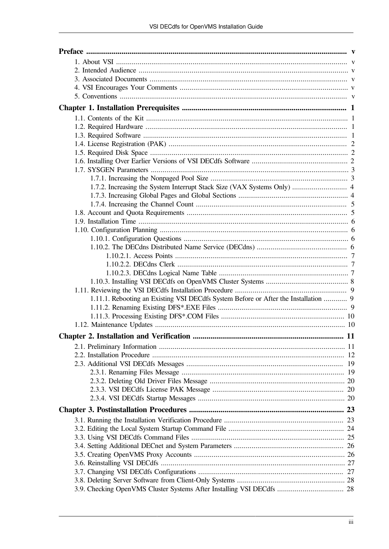| 1.7.2. Increasing the System Interrupt Stack Size (VAX Systems Only)  4             |  |
|-------------------------------------------------------------------------------------|--|
|                                                                                     |  |
|                                                                                     |  |
|                                                                                     |  |
|                                                                                     |  |
|                                                                                     |  |
|                                                                                     |  |
|                                                                                     |  |
|                                                                                     |  |
|                                                                                     |  |
|                                                                                     |  |
|                                                                                     |  |
|                                                                                     |  |
| 1.11.1. Rebooting an Existing VSI DECdfs System Before or After the Installation  9 |  |
|                                                                                     |  |
|                                                                                     |  |
|                                                                                     |  |
|                                                                                     |  |
|                                                                                     |  |
|                                                                                     |  |
|                                                                                     |  |
|                                                                                     |  |
|                                                                                     |  |
|                                                                                     |  |
|                                                                                     |  |
|                                                                                     |  |
|                                                                                     |  |
|                                                                                     |  |
|                                                                                     |  |
|                                                                                     |  |
|                                                                                     |  |
|                                                                                     |  |
|                                                                                     |  |
|                                                                                     |  |
| 3.9. Checking OpenVMS Cluster Systems After Installing VSI DECdfs  28               |  |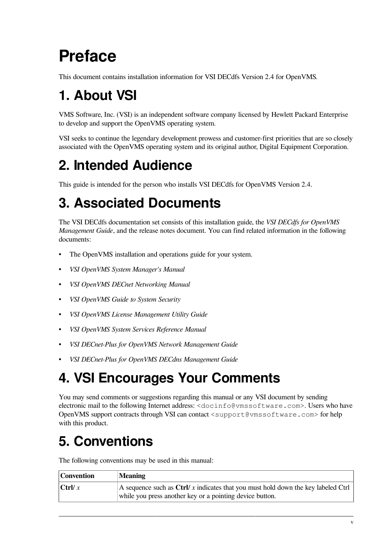# <span id="page-4-0"></span>**Preface**

This document contains installation information for VSI DECdfs Version 2.4 for OpenVMS.

# <span id="page-4-1"></span>**1. About VSI**

VMS Software, Inc. (VSI) is an independent software company licensed by Hewlett Packard Enterprise to develop and support the OpenVMS operating system.

VSI seeks to continue the legendary development prowess and customer-first priorities that are so closely associated with the OpenVMS operating system and its original author, Digital Equipment Corporation.

## <span id="page-4-2"></span>**2. Intended Audience**

This guide is intended for the person who installs VSI DECdfs for OpenVMS Version 2.4.

# <span id="page-4-3"></span>**3. Associated Documents**

The VSI DECdfs documentation set consists of this installation guide, the *VSI DECdfs for OpenVMS Management Guide*, and the release notes document. You can find related information in the following documents:

- The OpenVMS installation and operations guide for your system.
- *VSI OpenVMS System Manager's Manual*
- *VSI OpenVMS DECnet Networking Manual*
- *VSI OpenVMS Guide to System Security*
- *VSI OpenVMS License Management Utility Guide*
- *VSI OpenVMS System Services Reference Manual*
- *VSI DECnet-Plus for OpenVMS Network Management Guide*
- *VSI DECnet-Plus for OpenVMS DECdns Management Guide*

## <span id="page-4-4"></span>**4. VSI Encourages Your Comments**

You may send comments or suggestions regarding this manual or any VSI document by sending electronic mail to the following Internet address: <docinfo@vmssoftware.com>. Users who have OpenVMS support contracts through VSI can contact <support@vmssoftware.com> for help with this product.

## <span id="page-4-5"></span>**5. Conventions**

The following conventions may be used in this manual:

| Convention    | <b>Meaning</b>                                                                   |
|---------------|----------------------------------------------------------------------------------|
| $ $ Ctrl/ $x$ | A sequence such as Ctrl/x indicates that you must hold down the key labeled Ctrl |
|               | while you press another key or a pointing device button.                         |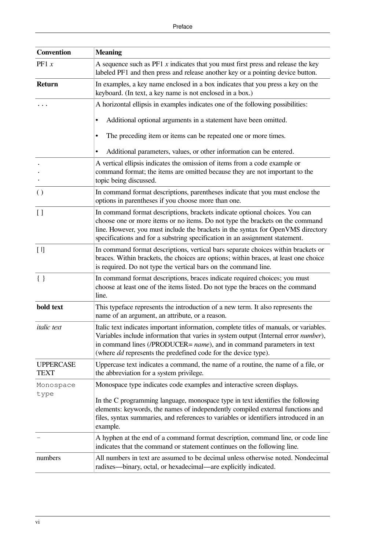| <b>Convention</b>        | <b>Meaning</b>                                                                                                                                                                                                                                                                                                                          |
|--------------------------|-----------------------------------------------------------------------------------------------------------------------------------------------------------------------------------------------------------------------------------------------------------------------------------------------------------------------------------------|
| PF1 $x$                  | A sequence such as $PF1 x$ indicates that you must first press and release the key<br>labeled PF1 and then press and release another key or a pointing device button.                                                                                                                                                                   |
| <b>Return</b>            | In examples, a key name enclosed in a box indicates that you press a key on the<br>keyboard. (In text, a key name is not enclosed in a box.)                                                                                                                                                                                            |
|                          | A horizontal ellipsis in examples indicates one of the following possibilities:                                                                                                                                                                                                                                                         |
|                          | Additional optional arguments in a statement have been omitted.                                                                                                                                                                                                                                                                         |
|                          | The preceding item or items can be repeated one or more times.                                                                                                                                                                                                                                                                          |
|                          | Additional parameters, values, or other information can be entered.                                                                                                                                                                                                                                                                     |
|                          | A vertical ellipsis indicates the omission of items from a code example or<br>command format; the items are omitted because they are not important to the<br>topic being discussed.                                                                                                                                                     |
| $\left( \ \right)$       | In command format descriptions, parentheses indicate that you must enclose the<br>options in parentheses if you choose more than one.                                                                                                                                                                                                   |
| $\left[ \ \right]$       | In command format descriptions, brackets indicate optional choices. You can<br>choose one or more items or no items. Do not type the brackets on the command<br>line. However, you must include the brackets in the syntax for OpenVMS directory<br>specifications and for a substring specification in an assignment statement.        |
| $[$                      | In command format descriptions, vertical bars separate choices within brackets or<br>braces. Within brackets, the choices are options; within braces, at least one choice<br>is required. Do not type the vertical bars on the command line.                                                                                            |
| $\{\}$                   | In command format descriptions, braces indicate required choices; you must<br>choose at least one of the items listed. Do not type the braces on the command<br>line.                                                                                                                                                                   |
| bold text                | This typeface represents the introduction of a new term. It also represents the<br>name of an argument, an attribute, or a reason.                                                                                                                                                                                                      |
| <i>italic</i> text       | Italic text indicates important information, complete titles of manuals, or variables.<br>Variables include information that varies in system output (Internal error number),<br>in command lines (/PRODUCER= <i>name</i> ), and in command parameters in text<br>(where <i>dd</i> represents the predefined code for the device type). |
| <b>UPPERCASE</b><br>TEXT | Uppercase text indicates a command, the name of a routine, the name of a file, or<br>the abbreviation for a system privilege.                                                                                                                                                                                                           |
| Monospace                | Monospace type indicates code examples and interactive screen displays.                                                                                                                                                                                                                                                                 |
| type                     | In the C programming language, monospace type in text identifies the following<br>elements: keywords, the names of independently compiled external functions and<br>files, syntax summaries, and references to variables or identifiers introduced in an<br>example.                                                                    |
|                          | A hyphen at the end of a command format description, command line, or code line<br>indicates that the command or statement continues on the following line.                                                                                                                                                                             |
| numbers                  | All numbers in text are assumed to be decimal unless otherwise noted. Nondecimal<br>radixes—binary, octal, or hexadecimal—are explicitly indicated.                                                                                                                                                                                     |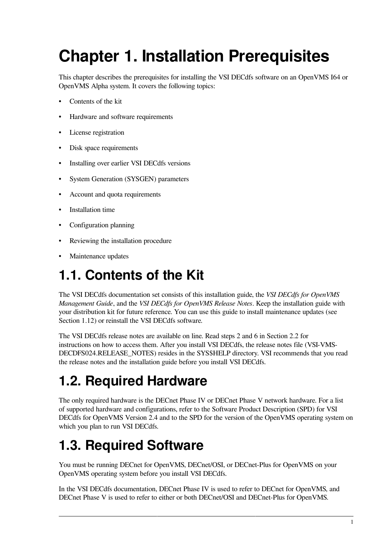# <span id="page-6-0"></span>**Chapter 1. Installation Prerequisites**

This chapter describes the prerequisites for installing the VSI DECdfs software on an OpenVMS I64 or OpenVMS Alpha system. It covers the following topics:

- Contents of the kit
- Hardware and software requirements
- License registration
- Disk space requirements
- Installing over earlier VSI DECdfs versions
- System Generation (SYSGEN) parameters
- Account and quota requirements
- Installation time
- Configuration planning
- Reviewing the installation procedure
- Maintenance updates

## <span id="page-6-1"></span>**1.1. Contents of the Kit**

The VSI DECdfs documentation set consists of this installation guide, the *VSI DECdfs for OpenVMS Management Guide*, and the *VSI DECdfs for OpenVMS Release Notes*. Keep the installation guide with your distribution kit for future reference. You can use this guide to install maintenance updates (see [Section](#page-15-1) 1.12) or reinstall the VSI DECdfs software.

The VSI DECdfs release notes are available on line. Read steps 2 and 6 in [Section](#page-17-0) 2.2 for instructions on how to access them. After you install VSI DECdfs, the release notes file (VSI-VMS-DECDFS024.RELEASE\_NOTES) resides in the SYS\$HELP directory. VSI recommends that you read the release notes and the installation guide before you install VSI DECdfs.

## <span id="page-6-2"></span>**1.2. Required Hardware**

The only required hardware is the DECnet Phase IV or DECnet Phase V network hardware. For a list of supported hardware and configurations, refer to the Software Product Description (SPD) for VSI DECdfs for OpenVMS Version 2.4 and to the SPD for the version of the OpenVMS operating system on which you plan to run VSI DECdfs.

## <span id="page-6-3"></span>**1.3. Required Software**

You must be running DECnet for OpenVMS, DECnet/OSI, or DECnet-Plus for OpenVMS on your OpenVMS operating system before you install VSI DECdfs.

In the VSI DECdfs documentation, DECnet Phase IV is used to refer to DECnet for OpenVMS, and DECnet Phase V is used to refer to either or both DECnet/OSI and DECnet-Plus for OpenVMS.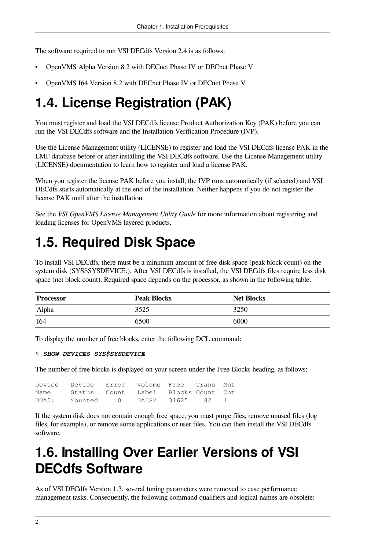The software required to run VSI DECdfs Version 2.4 is as follows:

- OpenVMS Alpha Version 8.2 with DECnet Phase IV or DECnet Phase V
- OpenVMS I64 Version 8.2 with DECnet Phase IV or DECnet Phase V

## <span id="page-7-0"></span>**1.4. License Registration (PAK)**

You must register and load the VSI DECdfs license Product Authorization Key (PAK) before you can run the VSI DECdfs software and the Installation Verification Procedure (IVP).

Use the License Management utility (LICENSE) to register and load the VSI DECdfs license PAK in the LMF database before or after installing the VSI DECdfs software. Use the License Management utility (LICENSE) documentation to learn how to register and load a license PAK.

When you register the license PAK before you install, the IVP runs automatically (if selected) and VSI DECdfs starts automatically at the end of the installation. Neither happens if you do not register the license PAK until after the installation.

See the *VSI OpenVMS License Management Utility Guide* for more information about registering and loading licenses for OpenVMS layered products.

## <span id="page-7-1"></span>**1.5. Required Disk Space**

To install VSI DECdfs, there must be a minimum amount of free disk space (peak block count) on the system disk (SYS\$SYSDEVICE:). After VSI DECdfs is installed, the VSI DECdfs files require less disk space (net block count). Required space depends on the processor, as shown in the following table:

| <b>Processor</b> | Peak Blocks | <b>Net Blocks</b> |
|------------------|-------------|-------------------|
| Alpha            | 3525        | 3250              |
| I <sub>64</sub>  | 6500        | 6000              |

To display the number of free blocks, enter the following DCL command:

#### \$ *SHOW DEVICES SYS\$SYSDEVICE*

The number of free blocks is displayed on your screen under the Free Blocks heading, as follows:

|       | Device Device Error Volume Free Trans Mnt |                |  |  |
|-------|-------------------------------------------|----------------|--|--|
| Name  | Status Count Label Blocks-Count Cnt       |                |  |  |
| DUA0: | Mounted 0                                 | DAISY 31625 82 |  |  |

If the system disk does not contain enough free space, you must purge files, remove unused files (log files, for example), or remove some applications or user files. You can then install the VSI DECdfs software.

## <span id="page-7-2"></span>**1.6. Installing Over Earlier Versions of VSI DECdfs Software**

As of VSI DECdfs Version 1.3, several tuning parameters were removed to ease performance management tasks. Consequently, the following command qualifiers and logical names are obsolete: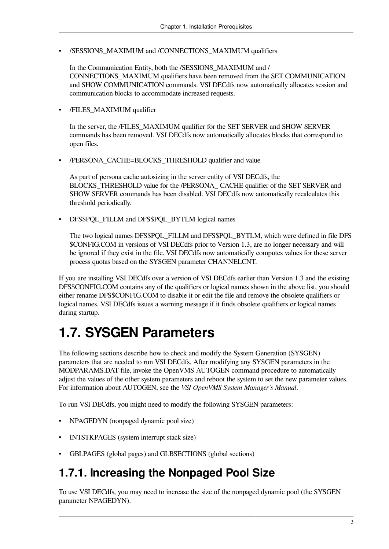• /SESSIONS\_MAXIMUM and /CONNECTIONS\_MAXIMUM qualifiers

In the Communication Entity, both the /SESSIONS\_MAXIMUM and / CONNECTIONS\_MAXIMUM qualifiers have been removed from the SET COMMUNICATION and SHOW COMMUNICATION commands. VSI DECdfs now automatically allocates session and communication blocks to accommodate increased requests.

• /FILES\_MAXIMUM qualifier

In the server, the /FILES\_MAXIMUM qualifier for the SET SERVER and SHOW SERVER commands has been removed. VSI DECdfs now automatically allocates blocks that correspond to open files.

• /PERSONA\_CACHE=BLOCKS\_THRESHOLD qualifier and value

As part of persona cache autosizing in the server entity of VSI DECdfs, the BLOCKS\_THRESHOLD value for the /PERSONA\_ CACHE qualifier of the SET SERVER and SHOW SERVER commands has been disabled. VSI DECdfs now automatically recalculates this threshold periodically.

• DFS\$PQL\_FILLM and DFS\$PQL\_BYTLM logical names

The two logical names DFS\$PQL\_FILLM and DFS\$PQL\_BYTLM, which were defined in file DFS \$CONFIG.COM in versions of VSI DECdfs prior to Version 1.3, are no longer necessary and will be ignored if they exist in the file. VSI DECdfs now automatically computes values for these server process quotas based on the SYSGEN parameter CHANNELCNT.

If you are installing VSI DECdfs over a version of VSI DECdfs earlier than Version 1.3 and the existing DFS\$CONFIG.COM contains any of the qualifiers or logical names shown in the above list, you should either rename DFS\$CONFIG.COM to disable it or edit the file and remove the obsolete qualifiers or logical names. VSI DECdfs issues a warning message if it finds obsolete qualifiers or logical names during startup.

### <span id="page-8-0"></span>**1.7. SYSGEN Parameters**

The following sections describe how to check and modify the System Generation (SYSGEN) parameters that are needed to run VSI DECdfs. After modifying any SYSGEN parameters in the MODPARAMS.DAT file, invoke the OpenVMS AUTOGEN command procedure to automatically adjust the values of the other system parameters and reboot the system to set the new parameter values. For information about AUTOGEN, see the *VSI OpenVMS System Manager's Manual*.

To run VSI DECdfs, you might need to modify the following SYSGEN parameters:

- NPAGEDYN (nonpaged dynamic pool size)
- INTSTKPAGES (system interrupt stack size)
- <span id="page-8-1"></span>• GBLPAGES (global pages) and GLBSECTIONS (global sections)

### **1.7.1. Increasing the Nonpaged Pool Size**

To use VSI DECdfs, you may need to increase the size of the nonpaged dynamic pool (the SYSGEN parameter NPAGEDYN).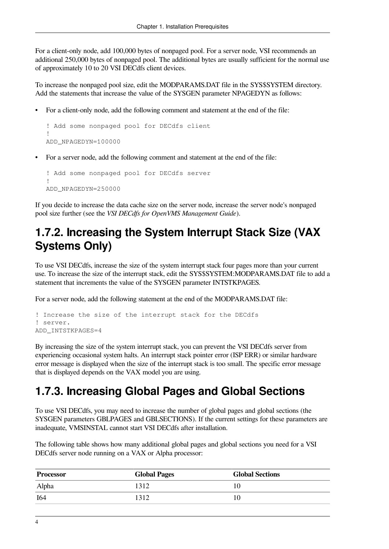For a client-only node, add 100,000 bytes of nonpaged pool. For a server node, VSI recommends an additional 250,000 bytes of nonpaged pool. The additional bytes are usually sufficient for the normal use of approximately 10 to 20 VSI DECdfs client devices.

To increase the nonpaged pool size, edit the MODPARAMS.DAT file in the SYS\$SYSTEM directory. Add the statements that increase the value of the SYSGEN parameter NPAGEDYN as follows:

• For a client-only node, add the following comment and statement at the end of the file:

```
! Add some nonpaged pool for DECdfs client
!
ADD_NPAGEDYN=100000
```
• For a server node, add the following comment and statement at the end of the file:

```
! Add some nonpaged pool for DECdfs server
!
ADD_NPAGEDYN=250000
```
If you decide to increase the data cache size on the server node, increase the server node's nonpaged pool size further (see the *VSI DECdfs for OpenVMS Management Guide*).

### <span id="page-9-0"></span>**1.7.2. Increasing the System Interrupt Stack Size (VAX Systems Only)**

To use VSI DECdfs, increase the size of the system interrupt stack four pages more than your current use. To increase the size of the interrupt stack, edit the SYS\$SYSTEM:MODPARAMS.DAT file to add a statement that increments the value of the SYSGEN parameter INTSTKPAGES.

For a server node, add the following statement at the end of the MODPARAMS.DAT file:

```
! Increase the size of the interrupt stack for the DECdfs
! server.
ADD_INTSTKPAGES=4
```
By increasing the size of the system interrupt stack, you can prevent the VSI DECdfs server from experiencing occasional system halts. An interrupt stack pointer error (ISP ERR) or similar hardware error message is displayed when the size of the interrupt stack is too small. The specific error message that is displayed depends on the VAX model you are using.

### <span id="page-9-1"></span>**1.7.3. Increasing Global Pages and Global Sections**

To use VSI DECdfs, you may need to increase the number of global pages and global sections (the SYSGEN parameters GBLPAGES and GBLSECTIONS). If the current settings for these parameters are inadequate, VMSINSTAL cannot start VSI DECdfs after installation.

The following table shows how many additional global pages and global sections you need for a VSI DECdfs server node running on a VAX or Alpha processor:

| Processor | <b>Global Pages</b> | <b>Global Sections</b> |
|-----------|---------------------|------------------------|
| Alpha     | 1312                | 1 U                    |
| I64       | 1312                | 1 V                    |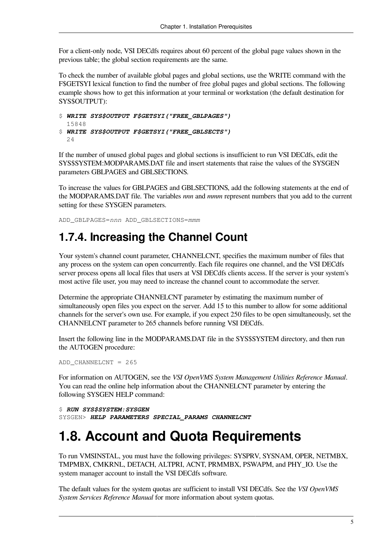For a client-only node, VSI DECdfs requires about 60 percent of the global page values shown in the previous table; the global section requirements are the same.

To check the number of available global pages and global sections, use the WRITE command with the F\$GETSYI lexical function to find the number of free global pages and global sections. The following example shows how to get this information at your terminal or workstation (the default destination for SYS\$OUTPUT):

```
$ WRITE SYS$OUTPUT F$GETSYI("FREE_GBLPAGES")
  15848
$ WRITE SYS$OUTPUT F$GETSYI("FREE_GBLSECTS")
  24
```
If the number of unused global pages and global sections is insufficient to run VSI DECdfs, edit the SYS\$SYSTEM:MODPARAMS.DAT file and insert statements that raise the values of the SYSGEN parameters GBLPAGES and GBLSECTIONS.

To increase the values for GBLPAGES and GBLSECTIONS, add the following statements at the end of the MODPARAMS.DAT file. The variables *nnn* and *mmm* represent numbers that you add to the current setting for these SYSGEN parameters.

<span id="page-10-0"></span>ADD\_GBLPAGES=*nnn* ADD\_GBLSECTIONS=*mmm*

### **1.7.4. Increasing the Channel Count**

Your system's channel count parameter, CHANNELCNT, specifies the maximum number of files that any process on the system can open concurrently. Each file requires one channel, and the VSI DECdfs server process opens all local files that users at VSI DECdfs clients access. If the server is your system's most active file user, you may need to increase the channel count to accommodate the server.

Determine the appropriate CHANNELCNT parameter by estimating the maximum number of simultaneously open files you expect on the server. Add 15 to this number to allow for some additional channels for the server's own use. For example, if you expect 250 files to be open simultaneously, set the CHANNELCNT parameter to 265 channels before running VSI DECdfs.

Insert the following line in the MODPARAMS.DAT file in the SYS\$SYSTEM directory, and then run the AUTOGEN procedure:

```
ADD_CHANNELCNT = 265
```
For information on AUTOGEN, see the *VSI OpenVMS System Management Utilities Reference Manual*. You can read the online help information about the CHANNELCNT parameter by entering the following SYSGEN HELP command:

```
$ RUN SYS$SYSTEM:SYSGEN
SYSGEN> HELP PARAMETERS SPECIAL_PARAMS CHANNELCNT
```
## <span id="page-10-1"></span>**1.8. Account and Quota Requirements**

To run VMSINSTAL, you must have the following privileges: SYSPRV, SYSNAM, OPER, NETMBX, TMPMBX, CMKRNL, DETACH, ALTPRI, ACNT, PRMMBX, PSWAPM, and PHY\_IO. Use the system manager account to install the VSI DECdfs software.

The default values for the system quotas are sufficient to install VSI DECdfs. See the *VSI OpenVMS System Services Reference Manual* for more information about system quotas.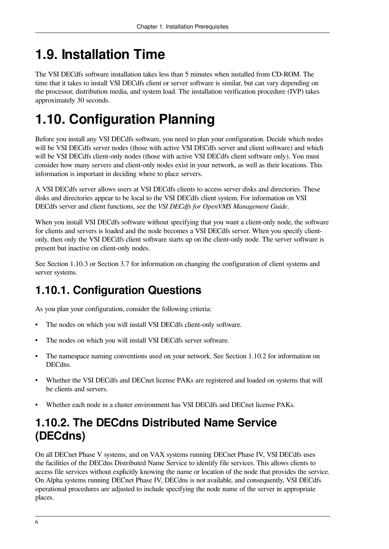## <span id="page-11-0"></span>**1.9. Installation Time**

The VSI DECdfs software installation takes less than 5 minutes when installed from CD-ROM. The time that it takes to install VSI DECdfs client or server software is similar, but can vary depending on the processor, distribution media, and system load. The installation verification procedure (IVP) takes approximately 30 seconds.

## <span id="page-11-1"></span>**1.10. Configuration Planning**

Before you install any VSI DECdfs software, you need to plan your configuration. Decide which nodes will be VSI DECdfs server nodes (those with active VSI DECdfs server and client software) and which will be VSI DECdfs client-only nodes (those with active VSI DECdfs client software only). You must consider how many servers and client-only nodes exist in your network, as well as their locations. This information is important in deciding where to place servers.

A VSI DECdfs server allows users at VSI DECdfs clients to access server disks and directories. These disks and directories appear to be local to the VSI DECdfs client system. For information on VSI DECdfs server and client functions, see the *VSI DECdfs for OpenVMS Management Guide*.

When you install VSI DECdfs software without specifying that you want a client-only node, the software for clients and servers is loaded and the node becomes a VSI DECdfs server. When you specify clientonly, then only the VSI DECdfs client software starts up on the client-only node. The server software is present but inactive on client-only nodes.

See [Section](#page-13-0) 1.10.3 or [Section](#page-32-1) 3.7 for information on changing the configuration of client systems and server systems.

### <span id="page-11-2"></span>**1.10.1. Configuration Questions**

As you plan your configuration, consider the following criteria:

- The nodes on which you will install VSI DECdfs client-only software.
- The nodes on which you will install VSI DECdfs server software.
- The namespace naming conventions used on your network. See [Section](#page-11-3) 1.10.2 for information on DECdns.
- Whether the VSI DECdfs and DECnet license PAKs are registered and loaded on systems that will be clients and servers.
- Whether each node in a cluster environment has VSI DECdfs and DECnet license PAKs.

### <span id="page-11-3"></span>**1.10.2. The DECdns Distributed Name Service (DECdns)**

On all DECnet Phase V systems, and on VAX systems running DECnet Phase IV, VSI DECdfs uses the facilities of the DECdns Distributed Name Service to identify file services. This allows clients to access file services without explicitly knowing the name or location of the node that provides the service. On Alpha systems running DECnet Phase IV, DECdns is not available, and consequently, VSI DECdfs operational procedures are adjusted to include specifying the node name of the server in appropriate places.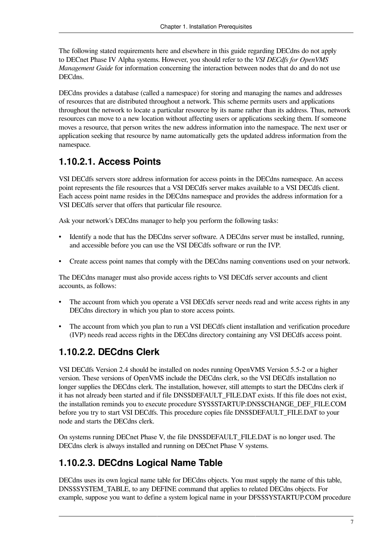The following stated requirements here and elsewhere in this guide regarding DECdns do not apply to DECnet Phase IV Alpha systems. However, you should refer to the *VSI DECdfs for OpenVMS Management Guide* for information concerning the interaction between nodes that do and do not use **DECdns** 

DECdns provides a database (called a namespace) for storing and managing the names and addresses of resources that are distributed throughout a network. This scheme permits users and applications throughout the network to locate a particular resource by its name rather than its address. Thus, network resources can move to a new location without affecting users or applications seeking them. If someone moves a resource, that person writes the new address information into the namespace. The next user or application seeking that resource by name automatically gets the updated address information from the namespace.

#### <span id="page-12-0"></span>**1.10.2.1. Access Points**

VSI DECdfs servers store address information for access points in the DECdns namespace. An access point represents the file resources that a VSI DECdfs server makes available to a VSI DECdfs client. Each access point name resides in the DECdns namespace and provides the address information for a VSI DECdfs server that offers that particular file resource.

Ask your network's DECdns manager to help you perform the following tasks:

- Identify a node that has the DECdns server software. A DECdns server must be installed, running, and accessible before you can use the VSI DECdfs software or run the IVP.
- Create access point names that comply with the DECdns naming conventions used on your network.

The DECdns manager must also provide access rights to VSI DECdfs server accounts and client accounts, as follows:

- The account from which you operate a VSI DECdfs server needs read and write access rights in any DECdns directory in which you plan to store access points.
- The account from which you plan to run a VSI DECdfs client installation and verification procedure (IVP) needs read access rights in the DECdns directory containing any VSI DECdfs access point.

#### <span id="page-12-1"></span>**1.10.2.2. DECdns Clerk**

VSI DECdfs Version 2.4 should be installed on nodes running OpenVMS Version 5.5-2 or a higher version. These versions of OpenVMS include the DECdns clerk, so the VSI DECdfs installation no longer supplies the DECdns clerk. The installation, however, still attempts to start the DECdns clerk if it has not already been started and if file DNS\$DEFAULT\_FILE.DAT exists. If this file does not exist, the installation reminds you to execute procedure SYS\$STARTUP:DNS\$CHANGE\_DEF\_FILE.COM before you try to start VSI DECdfs. This procedure copies file DNS\$DEFAULT\_FILE.DAT to your node and starts the DECdns clerk.

On systems running DECnet Phase V, the file DNS\$DEFAULT\_FILE.DAT is no longer used. The DECdns clerk is always installed and running on DECnet Phase V systems.

#### <span id="page-12-2"></span>**1.10.2.3. DECdns Logical Name Table**

DECdns uses its own logical name table for DECdns objects. You must supply the name of this table, DNS\$SYSTEM\_TABLE, to any DEFINE command that applies to related DECdns objects. For example, suppose you want to define a system logical name in your DFS\$SYSTARTUP.COM procedure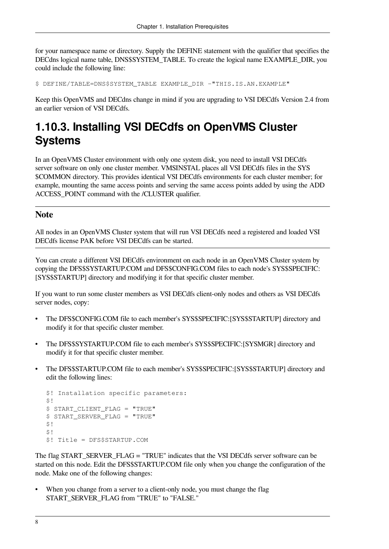for your namespace name or directory. Supply the DEFINE statement with the qualifier that specifies the DECdns logical name table, DNS\$SYSTEM\_TABLE. To create the logical name EXAMPLE\_DIR, you could include the following line:

\$ DEFINE/TABLE=DNS\$SYSTEM\_TABLE EXAMPLE\_DIR -"THIS.IS.AN.EXAMPLE"

Keep this OpenVMS and DECdns change in mind if you are upgrading to VSI DECdfs Version 2.4 from an earlier version of VSI DECdfs.

### <span id="page-13-0"></span>**1.10.3. Installing VSI DECdfs on OpenVMS Cluster Systems**

In an OpenVMS Cluster environment with only one system disk, you need to install VSI DECdfs server software on only one cluster member. VMSINSTAL places all VSI DECdfs files in the SYS \$COMMON directory. This provides identical VSI DECdfs environments for each cluster member; for example, mounting the same access points and serving the same access points added by using the ADD ACCESS\_POINT command with the /CLUSTER qualifier.

#### **Note**

All nodes in an OpenVMS Cluster system that will run VSI DECdfs need a registered and loaded VSI DECdfs license PAK before VSI DECdfs can be started.

You can create a different VSI DECdfs environment on each node in an OpenVMS Cluster system by copying the DFS\$SYSTARTUP.COM and DFS\$CONFIG.COM files to each node's SYS\$SPECIFIC: [SYS\$STARTUP] directory and modifying it for that specific cluster member.

If you want to run some cluster members as VSI DECdfs client-only nodes and others as VSI DECdfs server nodes, copy:

- The DFS\$CONFIG.COM file to each member's SYS\$SPECIFIC:[SYS\$STARTUP] directory and modify it for that specific cluster member.
- The DFS\$SYSTARTUP.COM file to each member's SYS\$SPECIFIC:[SYSMGR] directory and modify it for that specific cluster member.
- The DFS\$STARTUP.COM file to each member's SYS\$SPECIFIC:[SYS\$STARTUP] directory and edit the following lines:

```
$! Installation specific parameters:
$1$ START_CLIENT_FLAG = "TRUE"
$ START_SERVER_FLAG = "TRUE"
$!$1$! Title = DFS$STARTUP.COM
```
The flag START\_SERVER\_FLAG = "TRUE" indicates that the VSI DECdfs server software can be started on this node. Edit the DFS\$STARTUP.COM file only when you change the configuration of the node. Make one of the following changes:

When you change from a server to a client-only node, you must change the flag START\_SERVER\_FLAG from "TRUE" to "FALSE."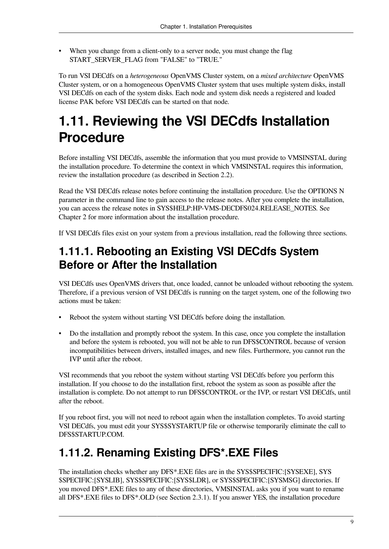• When you change from a client-only to a server node, you must change the flag START\_SERVER\_FLAG from "FALSE" to "TRUE."

To run VSI DECdfs on a *heterogeneous* OpenVMS Cluster system, on a *mixed architecture* OpenVMS Cluster system, or on a homogeneous OpenVMS Cluster system that uses multiple system disks, install VSI DECdfs on each of the system disks. Each node and system disk needs a registered and loaded license PAK before VSI DECdfs can be started on that node.

## <span id="page-14-0"></span>**1.11. Reviewing the VSI DECdfs Installation Procedure**

Before installing VSI DECdfs, assemble the information that you must provide to VMSINSTAL during the installation procedure. To determine the context in which VMSINSTAL requires this information, review the installation procedure (as described in [Section](#page-17-0) 2.2).

Read the VSI DECdfs release notes before continuing the installation procedure. Use the OPTIONS N parameter in the command line to gain access to the release notes. After you complete the installation, you can access the release notes in SYS\$HELP:HP-VMS-DECDFS024.RELEASE\_NOTES. See [Chapter](#page-16-0) 2 for more information about the installation procedure.

<span id="page-14-1"></span>If VSI DECdfs files exist on your system from a previous installation, read the following three sections.

### **1.11.1. Rebooting an Existing VSI DECdfs System Before or After the Installation**

VSI DECdfs uses OpenVMS drivers that, once loaded, cannot be unloaded without rebooting the system. Therefore, if a previous version of VSI DECdfs is running on the target system, one of the following two actions must be taken:

- Reboot the system without starting VSI DECdfs before doing the installation.
- Do the installation and promptly reboot the system. In this case, once you complete the installation and before the system is rebooted, you will not be able to run DFS\$CONTROL because of version incompatibilities between drivers, installed images, and new files. Furthermore, you cannot run the IVP until after the reboot.

VSI recommends that you reboot the system without starting VSI DECdfs before you perform this installation. If you choose to do the installation first, reboot the system as soon as possible after the installation is complete. Do not attempt to run DFS\$CONTROL or the IVP, or restart VSI DECdfs, until after the reboot.

If you reboot first, you will not need to reboot again when the installation completes. To avoid starting VSI DECdfs, you must edit your SYS\$SYSTARTUP file or otherwise temporarily eliminate the call to DFS\$STARTUP.COM.

### <span id="page-14-2"></span>**1.11.2. Renaming Existing DFS\*.EXE Files**

The installation checks whether any DFS\*.EXE files are in the SYS\$SPECIFIC:[SYSEXE], SYS \$SPECIFIC:[SYSLIB], SYS\$SPECIFIC:[SYS\$LDR], or SYS\$SPECIFIC:[SYSMSG] directories. If you moved DFS\*.EXE files to any of these directories, VMSINSTAL asks you if you want to rename all DFS\*.EXE files to DFS\*.OLD (see [Section](#page-24-1) 2.3.1). If you answer YES, the installation procedure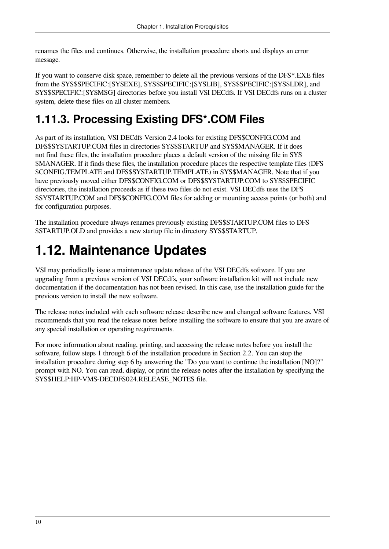renames the files and continues. Otherwise, the installation procedure aborts and displays an error message.

If you want to conserve disk space, remember to delete all the previous versions of the DFS\*.EXE files from the SYS\$SPECIFIC:[SYSEXE], SYS\$SPECIFIC:[SYSLIB], SYS\$SPECIFIC:[SYS\$LDR], and SYS\$SPECIFIC:[SYSMSG] directories before you install VSI DECdfs. If VSI DECdfs runs on a cluster system, delete these files on all cluster members.

### <span id="page-15-0"></span>**1.11.3. Processing Existing DFS\*.COM Files**

As part of its installation, VSI DECdfs Version 2.4 looks for existing DFS\$CONFIG.COM and DFS\$SYSTARTUP.COM files in directories SYS\$STARTUP and SYS\$MANAGER. If it does not find these files, the installation procedure places a default version of the missing file in SYS \$MANAGER. If it finds these files, the installation procedure places the respective template files (DFS \$CONFIG.TEMPLATE and DFS\$SYSTARTUP.TEMPLATE) in SYS\$MANAGER. Note that if you have previously moved either DFS\$CONFIG.COM or DFS\$SYSTARTUP.COM to SYS\$SPECIFIC directories, the installation proceeds as if these two files do not exist. VSI DECdfs uses the DFS \$SYSTARTUP.COM and DFS\$CONFIG.COM files for adding or mounting access points (or both) and for configuration purposes.

The installation procedure always renames previously existing DFS\$STARTUP.COM files to DFS \$STARTUP.OLD and provides a new startup file in directory SYS\$STARTUP.

## <span id="page-15-1"></span>**1.12. Maintenance Updates**

VSI may periodically issue a maintenance update release of the VSI DECdfs software. If you are upgrading from a previous version of VSI DECdfs, your software installation kit will not include new documentation if the documentation has not been revised. In this case, use the installation guide for the previous version to install the new software.

The release notes included with each software release describe new and changed software features. VSI recommends that you read the release notes before installing the software to ensure that you are aware of any special installation or operating requirements.

For more information about reading, printing, and accessing the release notes before you install the software, follow steps 1 through 6 of the installation procedure in [Section](#page-17-0) 2.2. You can stop the installation procedure during step 6 by answering the "Do you want to continue the installation [NO]?" prompt with NO. You can read, display, or print the release notes after the installation by specifying the SYS\$HELP:HP-VMS-DECDFS024.RELEASE\_NOTES file.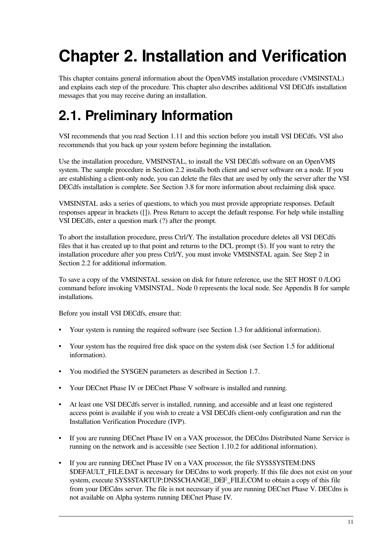# <span id="page-16-0"></span>**Chapter 2. Installation and Verification**

This chapter contains general information about the OpenVMS installation procedure (VMSINSTAL) and explains each step of the procedure. This chapter also describes additional VSI DECdfs installation messages that you may receive during an installation.

## <span id="page-16-1"></span>**2.1. Preliminary Information**

VSI recommends that you read [Section](#page-14-0) 1.11 and this section before you install VSI DECdfs. VSI also recommends that you back up your system before beginning the installation.

Use the installation procedure, VMSINSTAL, to install the VSI DECdfs software on an OpenVMS system. The sample procedure in [Section](#page-17-0) 2.2 installs both client and server software on a node. If you are establishing a client-only node, you can delete the files that are used by only the server after the VSI DECdfs installation is complete. See [Section](#page-33-0) 3.8 for more information about reclaiming disk space.

VMSINSTAL asks a series of questions, to which you must provide appropriate responses. Default responses appear in brackets ([]). Press Return to accept the default response. For help while installing VSI DECdfs, enter a question mark (?) after the prompt.

To abort the installation procedure, press Ctrl/Y. The installation procedure deletes all VSI DECdfs files that it has created up to that point and returns to the DCL prompt (\$). If you want to retry the installation procedure after you press Ctrl/Y, you must invoke VMSINSTAL again. See Step 2 in [Section](#page-17-0) 2.2 for additional information.

To save a copy of the VMSINSTAL session on disk for future reference, use the SET HOST 0 /LOG command before invoking VMSINSTAL. Node 0 represents the local node. See [Appendix](#page-38-0) B for sample installations.

Before you install VSI DECdfs, ensure that:

- Your system is running the required software (see [Section](#page-6-3) 1.3 for additional information).
- Your system has the required free disk space on the system disk (see [Section](#page-7-1) 1.5 for additional information).
- You modified the SYSGEN parameters as described in [Section](#page-8-0) 1.7.
- Your DECnet Phase IV or DECnet Phase V software is installed and running.
- At least one VSI DECdfs server is installed, running, and accessible and at least one registered access point is available if you wish to create a VSI DECdfs client-only configuration and run the Installation Verification Procedure (IVP).
- If you are running DECnet Phase IV on a VAX processor, the DECdns Distributed Name Service is running on the network and is accessible (see [Section](#page-11-3) 1.10.2 for additional information).
- If you are running DECnet Phase IV on a VAX processor, the file SYS\$SYSTEM:DNS \$DEFAULT\_FILE.DAT is necessary for DECdns to work properly. If this file does not exist on your system, execute SYS\$STARTUP:DNS\$CHANGE\_DEF\_FILE.COM to obtain a copy of this file from your DECdns server. The file is not necessary if you are running DECnet Phase V. DECdns is not available on Alpha systems running DECnet Phase IV.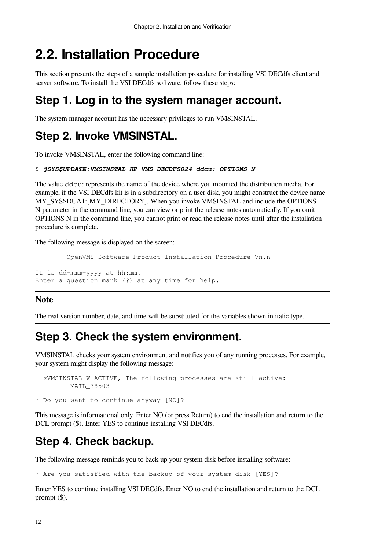### <span id="page-17-0"></span>**2.2. Installation Procedure**

This section presents the steps of a sample installation procedure for installing VSI DECdfs client and server software. To install the VSI DECdfs software, follow these steps:

### **Step 1. Log in to the system manager account.**

The system manager account has the necessary privileges to run VMSINSTAL.

### **Step 2. Invoke VMSINSTAL.**

To invoke VMSINSTAL, enter the following command line:

#### \$ *@SYS\$UPDATE:VMSINSTAL HP-VMS-DECDFS024 ddcu: OPTIONS N*

The value ddcu: represents the name of the device where you mounted the distribution media. For example, if the VSI DECdfs kit is in a subdirectory on a user disk, you might construct the device name MY\_SYS\$DUA1:[MY\_DIRECTORY]. When you invoke VMSINSTAL and include the OPTIONS N parameter in the command line, you can view or print the release notes automatically. If you omit OPTIONS N in the command line, you cannot print or read the release notes until after the installation procedure is complete.

The following message is displayed on the screen:

```
 OpenVMS Software Product Installation Procedure Vn.n
It is dd-mmm-yyyy at hh:mm.
Enter a question mark (?) at any time for help.
```
#### **Note**

The real version number, date, and time will be substituted for the variables shown in italic type.

### **Step 3. Check the system environment.**

VMSINSTAL checks your system environment and notifies you of any running processes. For example, your system might display the following message:

```
 %VMSINSTAL-W-ACTIVE, The following processes are still active:
       MAIL_38503
```
\* Do you want to continue anyway [NO]?

This message is informational only. Enter NO (or press Return) to end the installation and return to the DCL prompt  $(\$)$ . Enter YES to continue installing VSI DECdfs.

### **Step 4. Check backup.**

The following message reminds you to back up your system disk before installing software:

\* Are you satisfied with the backup of your system disk [YES]?

Enter YES to continue installing VSI DECdfs. Enter NO to end the installation and return to the DCL prompt (\$).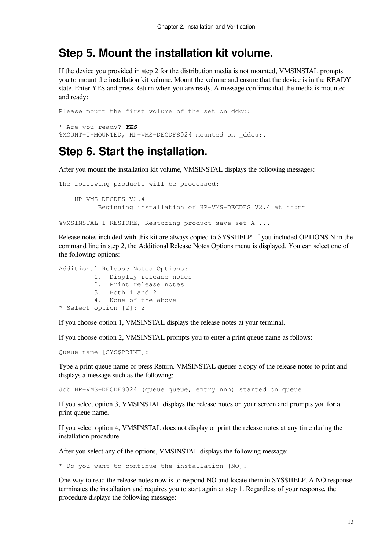#### **Step 5. Mount the installation kit volume.**

If the device you provided in step 2 for the distribution media is not mounted, VMSINSTAL prompts you to mount the installation kit volume. Mount the volume and ensure that the device is in the READY state. Enter YES and press Return when you are ready. A message confirms that the media is mounted and ready:

Please mount the first volume of the set on ddcu: \* Are you ready? *YES* %MOUNT-I-MOUNTED, HP-VMS-DECDFS024 mounted on ddcu:.

#### **Step 6. Start the installation.**

After you mount the installation kit volume, VMSINSTAL displays the following messages:

```
The following products will be processed:
     HP-VMS-DECDFS V2.4
           Beginning installation of HP-VMS-DECDFS V2.4 at hh:mm
```
%VMSINSTAL-I-RESTORE, Restoring product save set A ...

Release notes included with this kit are always copied to SYS\$HELP. If you included OPTIONS N in the command line in step 2, the Additional Release Notes Options menu is displayed. You can select one of the following options:

```
Additional Release Notes Options:
          1. Display release notes
          2. Print release notes
          3. Both 1 and 2
          4. None of the above
* Select option [2]: 2
```
If you choose option 1, VMSINSTAL displays the release notes at your terminal.

If you choose option 2, VMSINSTAL prompts you to enter a print queue name as follows:

Queue name [SYS\$PRINT]:

Type a print queue name or press Return. VMSINSTAL queues a copy of the release notes to print and displays a message such as the following:

Job HP-VMS-DECDFS024 (queue queue, entry nnn) started on queue

If you select option 3, VMSINSTAL displays the release notes on your screen and prompts you for a print queue name.

If you select option 4, VMSINSTAL does not display or print the release notes at any time during the installation procedure.

After you select any of the options, VMSINSTAL displays the following message:

\* Do you want to continue the installation [NO]?

One way to read the release notes now is to respond NO and locate them in SYS\$HELP. A NO response terminates the installation and requires you to start again at step 1. Regardless of your response, the procedure displays the following message: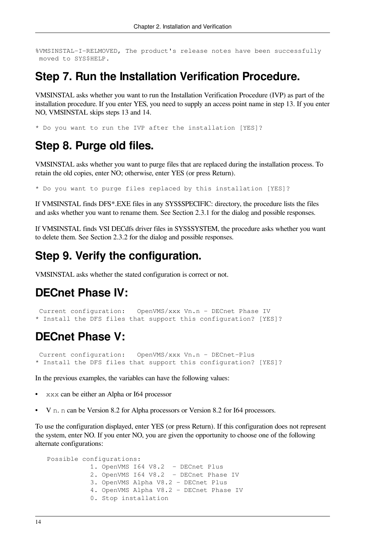%VMSINSTAL-I-RELMOVED, The product's release notes have been successfully moved to SYS\$HELP.

#### **Step 7. Run the Installation Verification Procedure.**

VMSINSTAL asks whether you want to run the Installation Verification Procedure (IVP) as part of the installation procedure. If you enter YES, you need to supply an access point name in step 13. If you enter NO, VMSINSTAL skips steps 13 and 14.

\* Do you want to run the IVP after the installation [YES]?

#### **Step 8. Purge old files.**

VMSINSTAL asks whether you want to purge files that are replaced during the installation process. To retain the old copies, enter NO; otherwise, enter YES (or press Return).

\* Do you want to purge files replaced by this installation [YES]?

If VMSINSTAL finds DFS\*.EXE files in any SYS\$SPECIFIC: directory, the procedure lists the files and asks whether you want to rename them. See [Section](#page-24-1) 2.3.1 for the dialog and possible responses.

If VMSINSTAL finds VSI DECdfs driver files in SYS\$SYSTEM, the procedure asks whether you want to delete them. See [Section](#page-25-0) 2.3.2 for the dialog and possible responses.

### **Step 9. Verify the configuration.**

VMSINSTAL asks whether the stated configuration is correct or not.

#### **DECnet Phase IV:**

 Current configuration: OpenVMS/xxx Vn.n - DECnet Phase IV \* Install the DFS files that support this configuration? [YES]?

#### **DECnet Phase V:**

 Current configuration: OpenVMS/xxx Vn.n - DECnet-Plus \* Install the DFS files that support this configuration? [YES]?

In the previous examples, the variables can have the following values:

- xxx can be either an Alpha or I64 processor
- V n. n can be Version 8.2 for Alpha processors or Version 8.2 for I64 processors.

To use the configuration displayed, enter YES (or press Return). If this configuration does not represent the system, enter NO. If you enter NO, you are given the opportunity to choose one of the following alternate configurations:

```
 Possible configurations:
            1. OpenVMS I64 V8.2 - DECnet Plus
            2. OpenVMS I64 V8.2 - DECnet Phase IV
            3. OpenVMS Alpha V8.2 - DECnet Plus
            4. OpenVMS Alpha V8.2 - DECnet Phase IV
            0. Stop installation
```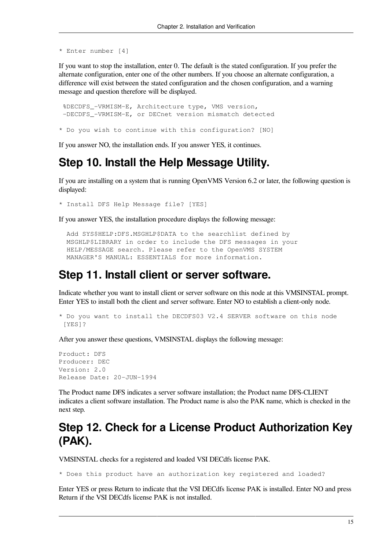```
* Enter number [4]
```
If you want to stop the installation, enter 0. The default is the stated configuration. If you prefer the alternate configuration, enter one of the other numbers. If you choose an alternate configuration, a difference will exist between the stated configuration and the chosen configuration, and a warning message and question therefore will be displayed.

 %DECDFS\_-VRMISM-E, Architecture type, VMS version, -DECDFS\_-VRMISM-E, or DECnet version mismatch detected

\* Do you wish to continue with this configuration? [NO]

If you answer NO, the installation ends. If you answer YES, it continues.

#### **Step 10. Install the Help Message Utility.**

If you are installing on a system that is running OpenVMS Version 6.2 or later, the following question is displayed:

\* Install DFS Help Message file? [YES]

If you answer YES, the installation procedure displays the following message:

```
 Add SYS$HELP:DFS.MSGHLP$DATA to the searchlist defined by
 MSGHLP$LIBRARY in order to include the DFS messages in your
 HELP/MESSAGE search. Please refer to the OpenVMS SYSTEM
 MANAGER'S MANUAL: ESSENTIALS for more information.
```
#### **Step 11. Install client or server software.**

Indicate whether you want to install client or server software on this node at this VMSINSTAL prompt. Enter YES to install both the client and server software. Enter NO to establish a client-only node.

```
* Do you want to install the DECDFS03 V2.4 SERVER software on this node
[YES]?
```
After you answer these questions, VMSINSTAL displays the following message:

```
Product: DFS
Producer: DEC
Version: 2.0
Release Date: 20-JUN-1994
```
The Product name DFS indicates a server software installation; the Product name DFS-CLIENT indicates a client software installation. The Product name is also the PAK name, which is checked in the next step.

### **Step 12. Check for a License Product Authorization Key (PAK).**

VMSINSTAL checks for a registered and loaded VSI DECdfs license PAK.

\* Does this product have an authorization key registered and loaded?

Enter YES or press Return to indicate that the VSI DECdfs license PAK is installed. Enter NO and press Return if the VSI DECdfs license PAK is not installed.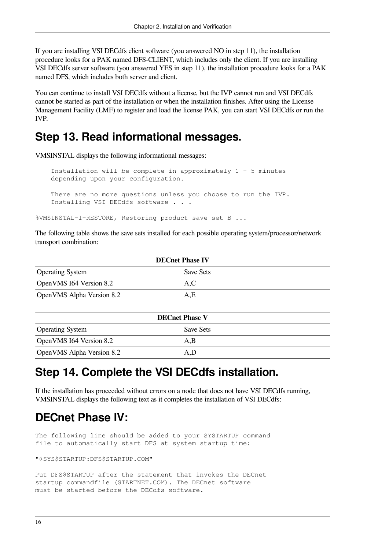If you are installing VSI DECdfs client software (you answered NO in step 11), the installation procedure looks for a PAK named DFS-CLIENT, which includes only the client. If you are installing VSI DECdfs server software (you answered YES in step 11), the installation procedure looks for a PAK named DFS, which includes both server and client.

You can continue to install VSI DECdfs without a license, but the IVP cannot run and VSI DECdfs cannot be started as part of the installation or when the installation finishes. After using the License Management Facility (LMF) to register and load the license PAK, you can start VSI DECdfs or run the IVP.

### **Step 13. Read informational messages.**

VMSINSTAL displays the following informational messages:

 Installation will be complete in approximately 1 - 5 minutes depending upon your configuration. There are no more questions unless you choose to run the IVP. Installing VSI DECdfs software . . .

%VMSINSTAL-I-RESTORE, Restoring product save set B ...

The following table shows the save sets installed for each possible operating system/processor/network transport combination:

| <b>DECnet Phase IV</b>    |           |  |
|---------------------------|-----------|--|
| <b>Operating System</b>   | Save Sets |  |
| OpenVMS I64 Version 8.2   | A,C       |  |
| OpenVMS Alpha Version 8.2 | A.E       |  |

| <b>DECnet Phase V</b>     |           |  |
|---------------------------|-----------|--|
| <b>Operating System</b>   | Save Sets |  |
| OpenVMS I64 Version 8.2   | A.B       |  |
| OpenVMS Alpha Version 8.2 | A.D       |  |

### **Step 14. Complete the VSI DECdfs installation.**

If the installation has proceeded without errors on a node that does not have VSI DECdfs running, VMSINSTAL displays the following text as it completes the installation of VSI DECdfs:

### **DECnet Phase IV:**

The following line should be added to your SYSTARTUP command file to automatically start DFS at system startup time:

"@SYS\$STARTUP:DFS\$STARTUP.COM"

Put DFS\$STARTUP after the statement that invokes the DECnet startup commandfile (STARTNET.COM). The DECnet software must be started before the DECdfs software.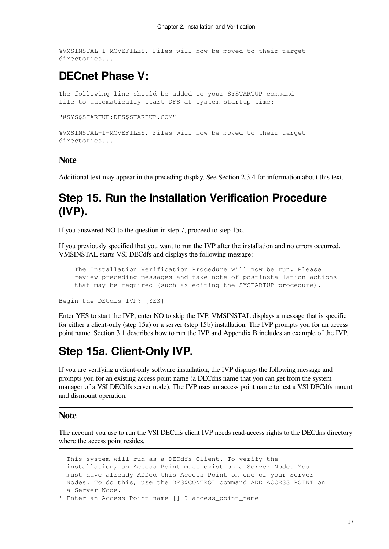%VMSINSTAL-I-MOVEFILES, Files will now be moved to their target directories...

#### **DECnet Phase V:**

The following line should be added to your SYSTARTUP command file to automatically start DFS at system startup time:

"@SYS\$STARTUP:DFS\$STARTUP.COM"

```
%VMSINSTAL-I-MOVEFILES, Files will now be moved to their target
directories...
```
#### **Note**

Additional text may appear in the preceding display. See [Section](#page-25-2) 2.3.4 for information about this text.

### **Step 15. Run the Installation Verification Procedure (IVP).**

If you answered NO to the question in step 7, proceed to step 15c.

If you previously specified that you want to run the IVP after the installation and no errors occurred, VMSINSTAL starts VSI DECdfs and displays the following message:

 The Installation Verification Procedure will now be run. Please review preceding messages and take note of postinstallation actions that may be required (such as editing the SYSTARTUP procedure).

Begin the DECdfs IVP? [YES]

Enter YES to start the IVP; enter NO to skip the IVP. VMSINSTAL displays a message that is specific for either a client-only (step 15a) or a server (step 15b) installation. The IVP prompts you for an access point name. [Section](#page-28-1) 3.1 describes how to run the IVP and [Appendix](#page-38-0) B includes an example of the IVP.

### **Step 15a. Client-Only IVP.**

If you are verifying a client-only software installation, the IVP displays the following message and prompts you for an existing access point name (a DECdns name that you can get from the system manager of a VSI DECdfs server node). The IVP uses an access point name to test a VSI DECdfs mount and dismount operation.

#### **Note**

The account you use to run the VSI DECdfs client IVP needs read-access rights to the DECdns directory where the access point resides.

```
 This system will run as a DECdfs Client. To verify the
  installation, an Access Point must exist on a Server Node. You
  must have already ADDed this Access Point on one of your Server
 Nodes. To do this, use the DFS$CONTROL command ADD ACCESS POINT on
  a Server Node.
* Enter an Access Point name [] ? access_point_name
```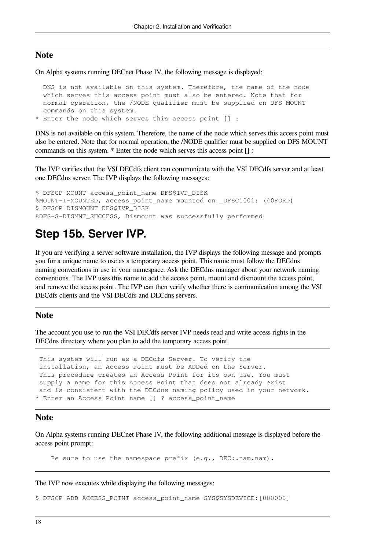#### **Note**

On Alpha systems running DECnet Phase IV, the following message is displayed:

```
 DNS is not available on this system. Therefore, the name of the node
  which serves this access point must also be entered. Note that for
  normal operation, the /NODE qualifier must be supplied on DFS MOUNT
  commands on this system.
* Enter the node which serves this access point [] :
```
DNS is not available on this system. Therefore, the name of the node which serves this access point must also be entered. Note that for normal operation, the /NODE qualifier must be supplied on DFS MOUNT commands on this system. \* Enter the node which serves this access point [] :

The IVP verifies that the VSI DECdfs client can communicate with the VSI DECdfs server and at least one DECdns server. The IVP displays the following messages:

\$ DFSCP MOUNT access point name DFS\$IVP DISK %MOUNT-I-MOUNTED, access point name mounted on DFSC1001: (40FORD) \$ DFSCP DISMOUNT DFS\$IVP\_DISK %DFS-S-DISMNT\_SUCCESS, Dismount was successfully performed

#### **Step 15b. Server IVP.**

If you are verifying a server software installation, the IVP displays the following message and prompts you for a unique name to use as a temporary access point. This name must follow the DECdns naming conventions in use in your namespace. Ask the DECdns manager about your network naming conventions. The IVP uses this name to add the access point, mount and dismount the access point, and remove the access point. The IVP can then verify whether there is communication among the VSI DECdfs clients and the VSI DECdfs and DECdns servers.

#### **Note**

The account you use to run the VSI DECdfs server IVP needs read and write access rights in the DECdns directory where you plan to add the temporary access point.

 This system will run as a DECdfs Server. To verify the installation, an Access Point must be ADDed on the Server. This procedure creates an Access Point for its own use. You must supply a name for this Access Point that does not already exist and is consistent with the DECdns naming policy used in your network. \* Enter an Access Point name [] ? access point name

#### **Note**

On Alpha systems running DECnet Phase IV, the following additional message is displayed before the access point prompt:

Be sure to use the namespace prefix (e.g., DEC:.nam.nam).

The IVP now executes while displaying the following messages:

\$ DFSCP ADD ACCESS\_POINT access\_point\_name SYS\$SYSDEVICE:[000000]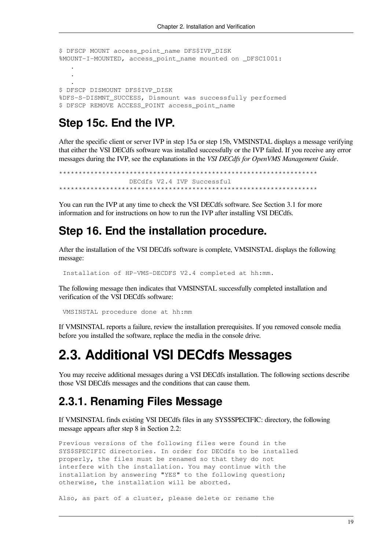```
$ DFSCP MOUNT access_point_name DFS$IVP_DISK
%MOUNT-I-MOUNTED, access point name mounted on DFSC1001:
 .
 .
 .
$ DFSCP DISMOUNT DFS$IVP_DISK
%DFS-S-DISMNT_SUCCESS, Dismount was successfully performed
$ DFSCP REMOVE ACCESS_POINT access_point_name
```
#### **Step 15c. End the IVP.**

After the specific client or server IVP in step 15a or step 15b, VMSINSTAL displays a message verifying that either the VSI DECdfs software was installed successfully or the IVP failed. If you receive any error messages during the IVP, see the explanations in the *VSI DECdfs for OpenVMS Management Guide*.

\*\*\*\*\*\*\*\*\*\*\*\*\*\*\*\*\*\*\*\*\*\*\*\*\*\*\*\*\*\*\*\*\*\*\*\*\*\*\*\*\*\*\*\*\*\*\*\*\*\*\*\*\*\*\*\*\*\*\*\*\*\*\*\*\*\* DECdfs V2.4 IVP Successful \*\*\*\*\*\*\*\*\*\*\*\*\*\*\*\*\*\*\*\*\*\*\*\*\*\*\*\*\*\*\*\*\*\*\*\*\*\*\*\*\*\*\*\*\*\*\*\*\*\*\*\*\*\*\*\*\*\*\*\*\*\*\*\*\*\*

You can run the IVP at any time to check the VSI DECdfs software. See [Section](#page-28-1) 3.1 for more information and for instructions on how to run the IVP after installing VSI DECdfs.

#### **Step 16. End the installation procedure.**

After the installation of the VSI DECdfs software is complete, VMSINSTAL displays the following message:

Installation of HP-VMS-DECDFS V2.4 completed at hh:mm.

The following message then indicates that VMSINSTAL successfully completed installation and verification of the VSI DECdfs software:

VMSINSTAL procedure done at hh:mm

If VMSINSTAL reports a failure, review the installation prerequisites. If you removed console media before you installed the software, replace the media in the console drive.

### <span id="page-24-0"></span>**2.3. Additional VSI DECdfs Messages**

You may receive additional messages during a VSI DECdfs installation. The following sections describe those VSI DECdfs messages and the conditions that can cause them.

#### <span id="page-24-1"></span>**2.3.1. Renaming Files Message**

If VMSINSTAL finds existing VSI DECdfs files in any SYS\$SPECIFIC: directory, the following message appears after step 8 in [Section](#page-17-0) 2.2:

Previous versions of the following files were found in the SYS\$SPECIFIC directories. In order for DECdfs to be installed properly, the files must be renamed so that they do not interfere with the installation. You may continue with the installation by answering "YES" to the following question; otherwise, the installation will be aborted.

Also, as part of a cluster, please delete or rename the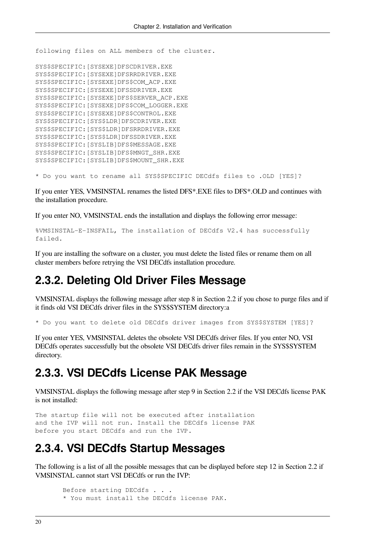following files on ALL members of the cluster.

SYS\$SPECIFIC:[SYSEXE]DFSCDRIVER.EXE SYS\$SPECIFIC:[SYSEXE]DFSRRDRIVER.EXE SYS\$SPECIFIC:[SYSEXE]DFS\$COM\_ACP.EXE SYS\$SPECIFIC:[SYSEXE]DFSSDRIVER.EXE SYS\$SPECIFIC:[SYSEXE]DFS\$SERVER\_ACP.EXE SYS\$SPECIFIC:[SYSEXE]DFS\$COM\_LOGGER.EXE SYS\$SPECIFIC:[SYSEXE]DFS\$CONTROL.EXE SYS\$SPECIFIC:[SYS\$LDR]DFSCDRIVER.EXE SYS\$SPECIFIC:[SYS\$LDR]DFSRRDRIVER.EXE SYS\$SPECIFIC:[SYS\$LDR]DFSSDRIVER.EXE SYS\$SPECIFIC:[SYSLIB]DFS\$MESSAGE.EXE SYS\$SPECIFIC:[SYSLIB]DFS\$MNGT\_SHR.EXE SYS\$SPECIFIC:[SYSLIB]DFS\$MOUNT\_SHR.EXE

\* Do you want to rename all SYS\$SPECIFIC DECdfs files to .OLD [YES]?

If you enter YES, VMSINSTAL renames the listed DFS\*.EXE files to DFS\*.OLD and continues with the installation procedure.

If you enter NO, VMSINSTAL ends the installation and displays the following error message:

%VMSINSTAL-E-INSFAIL, The installation of DECdfs V2.4 has successfully failed.

If you are installing the software on a cluster, you must delete the listed files or rename them on all cluster members before retrying the VSI DECdfs installation procedure.

#### <span id="page-25-0"></span>**2.3.2. Deleting Old Driver Files Message**

VMSINSTAL displays the following message after step 8 in [Section](#page-17-0) 2.2 if you chose to purge files and if it finds old VSI DECdfs driver files in the SYS\$SYSTEM directory:a

\* Do you want to delete old DECdfs driver images from SYS\$SYSTEM [YES]?

If you enter YES, VMSINSTAL deletes the obsolete VSI DECdfs driver files. If you enter NO, VSI DECdfs operates successfully but the obsolete VSI DECdfs driver files remain in the SYS\$SYSTEM directory.

#### <span id="page-25-1"></span>**2.3.3. VSI DECdfs License PAK Message**

VMSINSTAL displays the following message after step 9 in [Section](#page-17-0) 2.2 if the VSI DECdfs license PAK is not installed:

```
The startup file will not be executed after installation
and the IVP will not run. Install the DECdfs license PAK
before you start DECdfs and run the IVP.
```
#### <span id="page-25-2"></span>**2.3.4. VSI DECdfs Startup Messages**

The following is a list of all the possible messages that can be displayed before step 12 in [Section](#page-17-0) 2.2 if VMSINSTAL cannot start VSI DECdfs or run the IVP:

```
Before starting DECdfs . . .
 * You must install the DECdfs license PAK.
```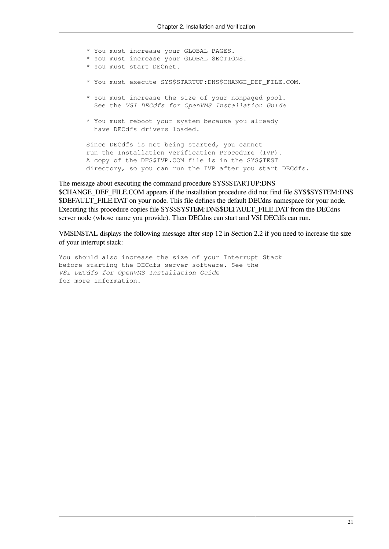\* You must increase your GLOBAL PAGES. \* You must increase your GLOBAL SECTIONS. \* You must start DECnet. \* You must execute SYS\$STARTUP:DNS\$CHANGE\_DEF\_FILE.COM. \* You must increase the size of your nonpaged pool. See the *VSI DECdfs for OpenVMS Installation Guide* \* You must reboot your system because you already have DECdfs drivers loaded. Since DECdfs is not being started, you cannot run the Installation Verification Procedure (IVP). A copy of the DFS\$IVP.COM file is in the SYS\$TEST directory, so you can run the IVP after you start DECdfs.

The message about executing the command procedure SYS\$STARTUP:DNS \$CHANGE\_DEF\_FILE.COM appears if the installation procedure did not find file SYS\$SYSTEM:DNS \$DEFAULT\_FILE.DAT on your node. This file defines the default DECdns namespace for your node. Executing this procedure copies file SYS\$SYSTEM:DNS\$DEFAULT\_FILE.DAT from the DECdns server node (whose name you provide). Then DECdns can start and VSI DECdfs can run.

VMSINSTAL displays the following message after step 12 in [Section](#page-17-0) 2.2 if you need to increase the size of your interrupt stack:

You should also increase the size of your Interrupt Stack before starting the DECdfs server software. See the *VSI DECdfs for OpenVMS Installation Guide* for more information.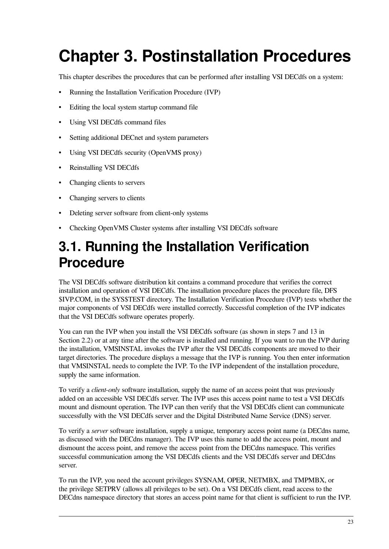# <span id="page-28-0"></span>**Chapter 3. Postinstallation Procedures**

This chapter describes the procedures that can be performed after installing VSI DECdfs on a system:

- Running the Installation Verification Procedure (IVP)
- Editing the local system startup command file
- Using VSI DECdfs command files
- Setting additional DECnet and system parameters
- Using VSI DECdfs security (OpenVMS proxy)
- Reinstalling VSI DECdfs
- Changing clients to servers
- Changing servers to clients
- Deleting server software from client-only systems
- Checking OpenVMS Cluster systems after installing VSI DECdfs software

### <span id="page-28-1"></span>**3.1. Running the Installation Verification Procedure**

The VSI DECdfs software distribution kit contains a command procedure that verifies the correct installation and operation of VSI DECdfs. The installation procedure places the procedure file, DFS \$IVP.COM, in the SYS\$TEST directory. The Installation Verification Procedure (IVP) tests whether the major components of VSI DECdfs were installed correctly. Successful completion of the IVP indicates that the VSI DECdfs software operates properly.

You can run the IVP when you install the VSI DECdfs software (as shown in steps 7 and 13 in [Section](#page-17-0) 2.2) or at any time after the software is installed and running. If you want to run the IVP during the installation, VMSINSTAL invokes the IVP after the VSI DECdfs components are moved to their target directories. The procedure displays a message that the IVP is running. You then enter information that VMSINSTAL needs to complete the IVP. To the IVP independent of the installation procedure, supply the same information.

To verify a *client-only* software installation, supply the name of an access point that was previously added on an accessible VSI DECdfs server. The IVP uses this access point name to test a VSI DECdfs mount and dismount operation. The IVP can then verify that the VSI DECdfs client can communicate successfully with the VSI DECdfs server and the Digital Distributed Name Service (DNS) server.

To verify a *server* software installation, supply a unique, temporary access point name (a DECdns name, as discussed with the DECdns manager). The IVP uses this name to add the access point, mount and dismount the access point, and remove the access point from the DECdns namespace. This verifies successful communication among the VSI DECdfs clients and the VSI DECdfs server and DECdns server.

To run the IVP, you need the account privileges SYSNAM, OPER, NETMBX, and TMPMBX, or the privilege SETPRV (allows all privileges to be set). On a VSI DECdfs client, read access to the DECdns namespace directory that stores an access point name for that client is sufficient to run the IVP.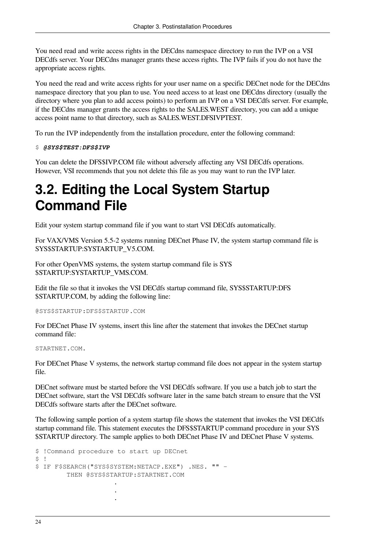You need read and write access rights in the DECdns namespace directory to run the IVP on a VSI DECdfs server. Your DECdns manager grants these access rights. The IVP fails if you do not have the appropriate access rights.

You need the read and write access rights for your user name on a specific DECnet node for the DECdns namespace directory that you plan to use. You need access to at least one DECdns directory (usually the directory where you plan to add access points) to perform an IVP on a VSI DECdfs server. For example, if the DECdns manager grants the access rights to the SALES.WEST directory, you can add a unique access point name to that directory, such as SALES.WEST.DFSIVPTEST.

To run the IVP independently from the installation procedure, enter the following command:

\$ *@SYS\$TEST:DFS\$IVP*

You can delete the DFS\$IVP.COM file without adversely affecting any VSI DECdfs operations. However, VSI recommends that you not delete this file as you may want to run the IVP later.

### <span id="page-29-0"></span>**3.2. Editing the Local System Startup Command File**

Edit your system startup command file if you want to start VSI DECdfs automatically.

For VAX/VMS Version 5.5-2 systems running DECnet Phase IV, the system startup command file is SYS\$STARTUP:SYSTARTUP\_V5.COM.

For other OpenVMS systems, the system startup command file is SYS \$STARTUP:SYSTARTUP\_VMS.COM.

Edit the file so that it invokes the VSI DECdfs startup command file, SYS\$STARTUP:DFS \$STARTUP.COM, by adding the following line:

@SYS\$STARTUP:DFS\$STARTUP.COM

For DECnet Phase IV systems, insert this line after the statement that invokes the DECnet startup command file:

STARTNET.COM.

For DECnet Phase V systems, the network startup command file does not appear in the system startup file.

DECnet software must be started before the VSI DECdfs software. If you use a batch job to start the DECnet software, start the VSI DECdfs software later in the same batch stream to ensure that the VSI DECdfs software starts after the DECnet software.

The following sample portion of a system startup file shows the statement that invokes the VSI DECdfs startup command file. This statement executes the DFS\$STARTUP command procedure in your SYS \$STARTUP directory. The sample applies to both DECnet Phase IV and DECnet Phase V systems.

```
$ !Command procedure to start up DECnet
$ \cdot \cdot \cdot$ IF F$SEARCH("SYS$SYSTEM:NETACP.EXE") .NES. "" -
       THEN @SYS$STARTUP:STARTNET.COM
 .
 .
 .
```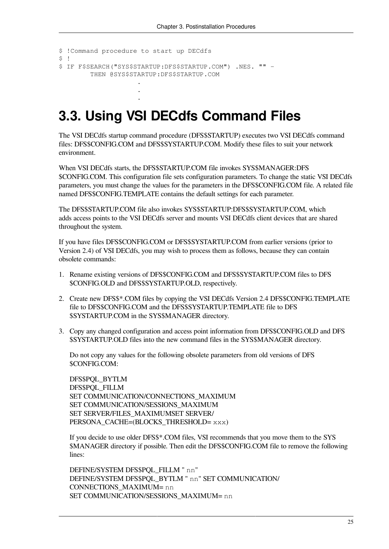```
$ !Command procedure to start up DECdfs
S<sub>1</sub>$ IF F$SEARCH("SYS$STARTUP:DFS$STARTUP.COM") .NES. "" -
        THEN @SYS$STARTUP:DFS$STARTUP.COM
 .
```
 . .

### <span id="page-30-0"></span>**3.3. Using VSI DECdfs Command Files**

The VSI DECdfs startup command procedure (DFS\$STARTUP) executes two VSI DECdfs command files: DFS\$CONFIG.COM and DFS\$SYSTARTUP.COM. Modify these files to suit your network environment.

When VSI DECdfs starts, the DFS\$STARTUP.COM file invokes SYS\$MANAGER:DFS \$CONFIG.COM. This configuration file sets configuration parameters. To change the static VSI DECdfs parameters, you must change the values for the parameters in the DFS\$CONFIG.COM file. A related file named DFS\$CONFIG.TEMPLATE contains the default settings for each parameter.

The DFS\$STARTUP.COM file also invokes SYS\$STARTUP:DFS\$SYSTARTUP.COM, which adds access points to the VSI DECdfs server and mounts VSI DECdfs client devices that are shared throughout the system.

If you have files DFS\$CONFIG.COM or DFS\$SYSTARTUP.COM from earlier versions (prior to Version 2.4) of VSI DECdfs, you may wish to process them as follows, because they can contain obsolete commands:

- 1. Rename existing versions of DFS\$CONFIG.COM and DFS\$SYSTARTUP.COM files to DFS \$CONFIG.OLD and DFS\$SYSTARTUP.OLD, respectively.
- 2. Create new DFS\$\*.COM files by copying the VSI DECdfs Version 2.4 DFS\$CONFIG.TEMPLATE file to DFS\$CONFIG.COM and the DFS\$SYSTARTUP.TEMPLATE file to DFS \$SYSTARTUP.COM in the SYS\$MANAGER directory.
- 3. Copy any changed configuration and access point information from DFS\$CONFIG.OLD and DFS \$SYSTARTUP.OLD files into the new command files in the SYS\$MANAGER directory.

Do not copy any values for the following obsolete parameters from old versions of DFS \$CONFIG.COM:

DFS\$PQL\_BYTLM DFS\$PQL\_FILLM SET COMMUNICATION/CONNECTIONS\_MAXIMUM SET COMMUNICATION/SESSIONS\_MAXIMUM SET SERVER/FILES\_MAXIMUMSET SERVER/ PERSONA\_CACHE=(BLOCKS\_THRESHOLD= xxx)

If you decide to use older DFS\$\*.COM files, VSI recommends that you move them to the SYS \$MANAGER directory if possible. Then edit the DFS\$CONFIG.COM file to remove the following lines:

DEFINE/SYSTEM DFS\$POL FILLM " nn" DEFINE/SYSTEM DFS\$PQL\_BYTLM " nn" SET COMMUNICATION/ CONNECTIONS\_MAXIMUM= nn SET COMMUNICATION/SESSIONS\_MAXIMUM= nn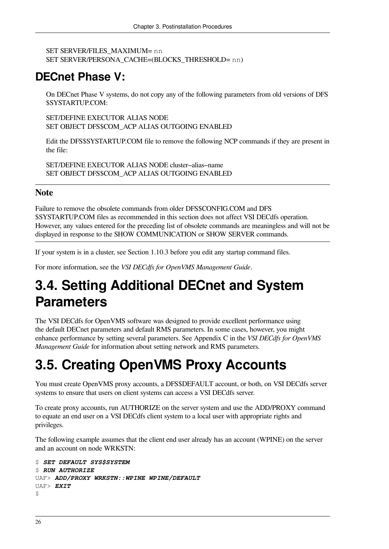```
SET SERVER/FILES_MAXIMUM= nn
SET SERVER/PERSONA_CACHE=(BLOCKS_THRESHOLD= nn)
```
### **DECnet Phase V:**

On DECnet Phase V systems, do not copy any of the following parameters from old versions of DFS \$SYSTARTUP.COM:

SET/DEFINE EXECUTOR ALIAS NODE SET OBJECT DFS\$COM\_ACP ALIAS OUTGOING ENABLED

Edit the DFS\$SYSTARTUP.COM file to remove the following NCP commands if they are present in the file:

SET/DEFINE EXECUTOR ALIAS NODE cluster–alias–name SET OBJECT DFS\$COM\_ACP ALIAS OUTGOING ENABLED

#### **Note**

Failure to remove the obsolete commands from older DFS\$CONFIG.COM and DFS \$SYSTARTUP.COM files as recommended in this section does not affect VSI DECdfs operation. However, any values entered for the preceding list of obsolete commands are meaningless and will not be displayed in response to the SHOW COMMUNICATION or SHOW SERVER commands.

If your system is in a cluster, see [Section](#page-13-0) 1.10.3 before you edit any startup command files.

For more information, see the *VSI DECdfs for OpenVMS Management Guide*.

### <span id="page-31-0"></span>**3.4. Setting Additional DECnet and System Parameters**

The VSI DECdfs for OpenVMS software was designed to provide excellent performance using the default DECnet parameters and default RMS parameters. In some cases, however, you might enhance performance by setting several parameters. See Appendix C in the *VSI DECdfs for OpenVMS Management Guide* for information about setting network and RMS parameters.

## <span id="page-31-1"></span>**3.5. Creating OpenVMS Proxy Accounts**

You must create OpenVMS proxy accounts, a DFS\$DEFAULT account, or both, on VSI DECdfs server systems to ensure that users on client systems can access a VSI DECdfs server.

To create proxy accounts, run AUTHORIZE on the server system and use the ADD/PROXY command to equate an end user on a VSI DECdfs client system to a local user with appropriate rights and privileges.

The following example assumes that the client end user already has an account (WPINE) on the server and an account on node WRKSTN:

```
$ SET DEFAULT SYS$SYSTEM
$ RUN AUTHORIZE
UAF> ADD/PROXY WRKSTN::WPINE WPINE/DEFAULT
UAF> EXIT
\varsigma
```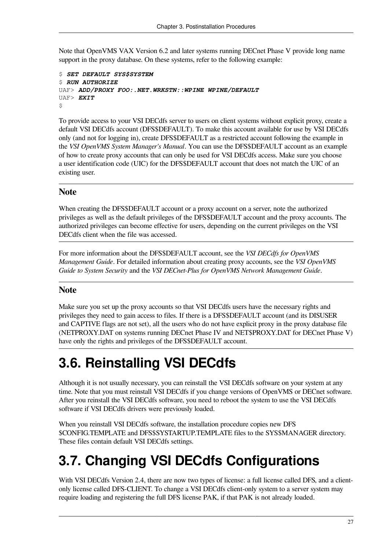Note that OpenVMS VAX Version 6.2 and later systems running DECnet Phase V provide long name support in the proxy database. On these systems, refer to the following example:

```
$ SET DEFAULT SYS$SYSTEM
$ RUN AUTHORIZE
UAF> ADD/PROXY FOO:.NET.WRKSTN::WPINE WPINE/DEFAULT
UAF> EXIT
\mathsf{S}
```
To provide access to your VSI DECdfs server to users on client systems without explicit proxy, create a default VSI DECdfs account (DFS\$DEFAULT). To make this account available for use by VSI DECdfs only (and not for logging in), create DFS\$DEFAULT as a restricted account following the example in the *VSI OpenVMS System Manager's Manual*. You can use the DFS\$DEFAULT account as an example of how to create proxy accounts that can only be used for VSI DECdfs access. Make sure you choose a user identification code (UIC) for the DFS\$DEFAULT account that does not match the UIC of an existing user.

#### **Note**

When creating the DFS\$DEFAULT account or a proxy account on a server, note the authorized privileges as well as the default privileges of the DFS\$DEFAULT account and the proxy accounts. The authorized privileges can become effective for users, depending on the current privileges on the VSI DECdfs client when the file was accessed.

For more information about the DFS\$DEFAULT account, see the *VSI DECdfs for OpenVMS Management Guide*. For detailed information about creating proxy accounts, see the *VSI OpenVMS Guide to System Security* and the *VSI DECnet-Plus for OpenVMS Network Management Guide*.

#### **Note**

Make sure you set up the proxy accounts so that VSI DECdfs users have the necessary rights and privileges they need to gain access to files. If there is a DFS\$DEFAULT account (and its DISUSER and CAPTIVE flags are not set), all the users who do not have explicit proxy in the proxy database file (NETPROXY.DAT on systems running DECnet Phase IV and NET\$PROXY.DAT for DECnet Phase V) have only the rights and privileges of the DFS\$DEFAULT account.

### <span id="page-32-0"></span>**3.6. Reinstalling VSI DECdfs**

Although it is not usually necessary, you can reinstall the VSI DECdfs software on your system at any time. Note that you must reinstall VSI DECdfs if you change versions of OpenVMS or DECnet software. After you reinstall the VSI DECdfs software, you need to reboot the system to use the VSI DECdfs software if VSI DECdfs drivers were previously loaded.

When you reinstall VSI DECdfs software, the installation procedure copies new DFS \$CONFIG.TEMPLATE and DFS\$SYSTARTUP.TEMPLATE files to the SYS\$MANAGER directory. These files contain default VSI DECdfs settings.

### <span id="page-32-1"></span>**3.7. Changing VSI DECdfs Configurations**

With VSI DECdfs Version 2.4, there are now two types of license: a full license called DFS, and a clientonly license called DFS-CLIENT. To change a VSI DECdfs client-only system to a server system may require loading and registering the full DFS license PAK, if that PAK is not already loaded.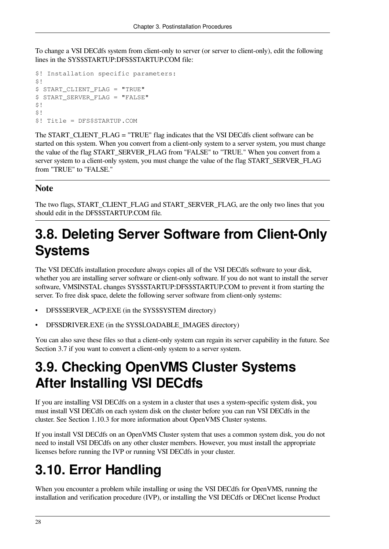To change a VSI DECdfs system from client-only to server (or server to client-only), edit the following lines in the SYS\$STARTUP:DFS\$STARTUP.COM file:

```
$! Installation specific parameters:
$!$ START_CLIENT_FLAG = "TRUE"
$ START_SERVER_FLAG = "FALSE"
S!$1$! Title = DFS$STARTUP.COM
```
The START\_CLIENT\_FLAG = "TRUE" flag indicates that the VSI DECdfs client software can be started on this system. When you convert from a client-only system to a server system, you must change the value of the flag START\_SERVER\_FLAG from "FALSE" to "TRUE." When you convert from a server system to a client-only system, you must change the value of the flag START\_SERVER\_FLAG from "TRUE" to "FALSE."

#### **Note**

The two flags, START\_CLIENT\_FLAG and START\_SERVER\_FLAG, are the only two lines that you should edit in the DFS\$STARTUP.COM file.

### <span id="page-33-0"></span>**3.8. Deleting Server Software from Client-Only Systems**

The VSI DECdfs installation procedure always copies all of the VSI DECdfs software to your disk, whether you are installing server software or client-only software. If you do not want to install the server software, VMSINSTAL changes SYS\$STARTUP:DFS\$STARTUP.COM to prevent it from starting the server. To free disk space, delete the following server software from client-only systems:

- DFS\$SERVER\_ACP.EXE (in the SYS\$SYSTEM directory)
- DFSSDRIVER.EXE (in the SYS\$LOADABLE\_IMAGES directory)

You can also save these files so that a client-only system can regain its server capability in the future. See [Section](#page-32-1) 3.7 if you want to convert a client-only system to a server system.

### <span id="page-33-1"></span>**3.9. Checking OpenVMS Cluster Systems After Installing VSI DECdfs**

If you are installing VSI DECdfs on a system in a cluster that uses a system-specific system disk, you must install VSI DECdfs on each system disk on the cluster before you can run VSI DECdfs in the cluster. See [Section](#page-13-0) 1.10.3 for more information about OpenVMS Cluster systems.

If you install VSI DECdfs on an OpenVMS Cluster system that uses a common system disk, you do not need to install VSI DECdfs on any other cluster members. However, you must install the appropriate licenses before running the IVP or running VSI DECdfs in your cluster.

## <span id="page-33-2"></span>**3.10. Error Handling**

When you encounter a problem while installing or using the VSI DECdfs for OpenVMS, running the installation and verification procedure (IVP), or installing the VSI DECdfs or DECnet license Product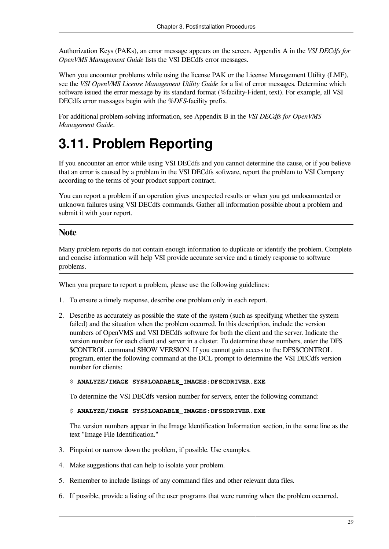Authorization Keys (PAKs), an error message appears on the screen. Appendix A in the *VSI DECdfs for OpenVMS Management Guide* lists the VSI DECdfs error messages.

When you encounter problems while using the license PAK or the License Management Utility (LMF), see the *VSI OpenVMS License Management Utility Guide* for a list of error messages. Determine which software issued the error message by its standard format (%facility-l-ident, text). For example, all VSI DECdfs error messages begin with the *%DFS-*facility prefix.

For additional problem-solving information, see Appendix B in the *VSI DECdfs for OpenVMS Management Guide*.

### <span id="page-34-0"></span>**3.11. Problem Reporting**

If you encounter an error while using VSI DECdfs and you cannot determine the cause, or if you believe that an error is caused by a problem in the VSI DECdfs software, report the problem to VSI Company according to the terms of your product support contract.

You can report a problem if an operation gives unexpected results or when you get undocumented or unknown failures using VSI DECdfs commands. Gather all information possible about a problem and submit it with your report.

#### **Note**

Many problem reports do not contain enough information to duplicate or identify the problem. Complete and concise information will help VSI provide accurate service and a timely response to software problems.

When you prepare to report a problem, please use the following guidelines:

- 1. To ensure a timely response, describe one problem only in each report.
- 2. Describe as accurately as possible the state of the system (such as specifying whether the system failed) and the situation when the problem occurred. In this description, include the version numbers of OpenVMS and VSI DECdfs software for both the client and the server. Indicate the version number for each client and server in a cluster. To determine these numbers, enter the DFS \$CONTROL command SHOW VERSION. If you cannot gain access to the DFS\$CONTROL program, enter the following command at the DCL prompt to determine the VSI DECdfs version number for clients:

#### \$ **ANALYZE/IMAGE SYS\$LOADABLE\_IMAGES:DFSCDRIVER.EXE**

To determine the VSI DECdfs version number for servers, enter the following command:

#### \$ **ANALYZE/IMAGE SYS\$LOADABLE\_IMAGES:DFSSDRIVER.EXE**

The version numbers appear in the Image Identification Information section, in the same line as the text "Image File Identification."

- 3. Pinpoint or narrow down the problem, if possible. Use examples.
- 4. Make suggestions that can help to isolate your problem.
- 5. Remember to include listings of any command files and other relevant data files.
- 6. If possible, provide a listing of the user programs that were running when the problem occurred.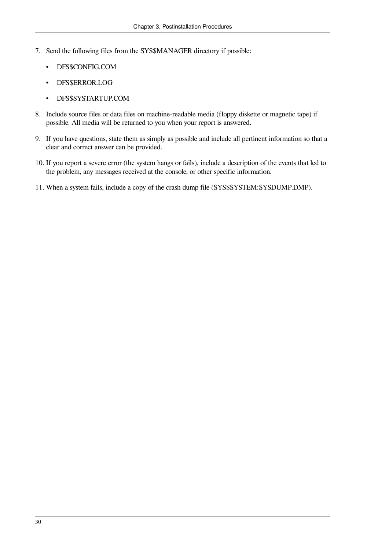- 7. Send the following files from the SYS\$MANAGER directory if possible:
	- DFS\$CONFIG.COM
	- DFS\$ERROR.LOG
	- DFS\$SYSTARTUP.COM
- 8. Include source files or data files on machine-readable media (floppy diskette or magnetic tape) if possible. All media will be returned to you when your report is answered.
- 9. If you have questions, state them as simply as possible and include all pertinent information so that a clear and correct answer can be provided.
- 10. If you report a severe error (the system hangs or fails), include a description of the events that led to the problem, any messages received at the console, or other specific information.
- 11. When a system fails, include a copy of the crash dump file (SYS\$SYSTEM:SYSDUMP.DMP).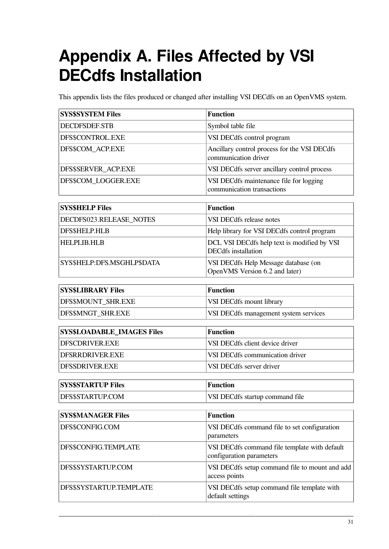# <span id="page-36-0"></span>**Appendix A. Files Affected by VSI DECdfs Installation**

This appendix lists the files produced or changed after installing VSI DECdfs on an OpenVMS system.

| <b>SYS\$SYSTEM Files</b>          | <b>Function</b>                                                           |  |  |
|-----------------------------------|---------------------------------------------------------------------------|--|--|
| <b>DECDFSDEF.STB</b>              | Symbol table file                                                         |  |  |
| DFS\$CONTROL.EXE                  | VSI DECdfs control program                                                |  |  |
| DFS\$COM ACP.EXE                  | Ancillary control process for the VSI DECdfs<br>communication driver      |  |  |
| DFS\$SERVER_ACP.EXE               | VSI DECdfs server ancillary control process                               |  |  |
| DFS\$COM LOGGER.EXE               | VSI DECdfs maintenance file for logging<br>communication transactions     |  |  |
| <b>SYS\$HELP Files</b>            | <b>Function</b>                                                           |  |  |
| DECDFS023.RELEASE_NOTES           | VSI DECdfs release notes                                                  |  |  |
| DFS\$HELP.HLB                     | Help library for VSI DECdfs control program                               |  |  |
| <b>HELPLIB.HLB</b>                | DCL VSI DECdfs help text is modified by VSI<br><b>DECdfs</b> installation |  |  |
| SYS\$HELP:DFS.MSGHLP\$DATA        | VSI DECdfs Help Message database (on<br>OpenVMS Version 6.2 and later)    |  |  |
| <b>SYS\$LIBRARY Files</b>         | <b>Function</b>                                                           |  |  |
| DFS\$MOUNT_SHR.EXE                | VSI DECdfs mount library                                                  |  |  |
| DFS\$MNGT_SHR.EXE                 | VSI DECdfs management system services                                     |  |  |
|                                   |                                                                           |  |  |
| <b>SYS\$LOADABLE_IMAGES Files</b> | <b>Function</b>                                                           |  |  |
| DFSCDRIVER.EXE                    | VSI DECdfs client device driver                                           |  |  |
| DFSRRDRIVER.EXE                   | VSI DECdfs communication driver                                           |  |  |
| DFSSDRIVER.EXE                    | VSI DECdfs server driver                                                  |  |  |
| <b>SYS\$STARTUP Files</b>         | <b>Function</b>                                                           |  |  |
| DFS\$STARTUP.COM                  | VSI DECdfs startup command file                                           |  |  |
|                                   |                                                                           |  |  |
| <b>SYS\$MANAGER Files</b>         | <b>Function</b>                                                           |  |  |
| DFS\$CONFIG.COM                   | VSI DECdfs command file to set configuration<br>parameters                |  |  |
| DFS\$CONFIG.TEMPLATE              | VSI DECdfs command file template with default<br>configuration parameters |  |  |
| DFS\$SYSTARTUP.COM                | VSI DECdfs setup command file to mount and add<br>access points           |  |  |
| DFS\$SYSTARTUP.TEMPLATE           | VSI DECdfs setup command file template with<br>default settings           |  |  |
|                                   |                                                                           |  |  |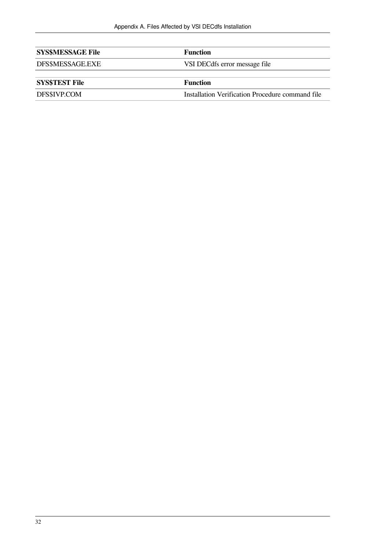| <b>SYS\$MESSAGE File</b> | <b>Function</b>                                  |  |
|--------------------------|--------------------------------------------------|--|
| DFS\$MESSAGE.EXE         | VSI DECdfs error message file                    |  |
|                          |                                                  |  |
| <b>SYSSTEST File</b>     | <b>Function</b>                                  |  |
| DFS\$IVP.COM             | Installation Verification Procedure command file |  |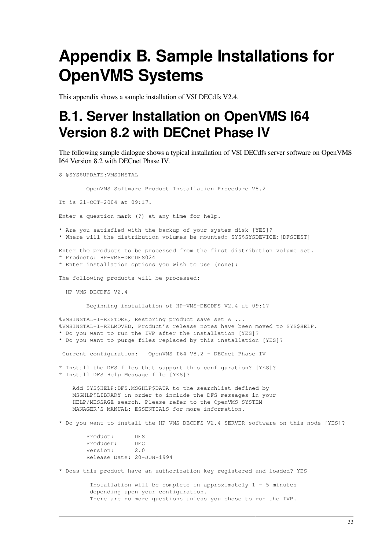# <span id="page-38-0"></span>**Appendix B. Sample Installations for OpenVMS Systems**

<span id="page-38-1"></span>This appendix shows a sample installation of VSI DECdfs V2.4.

### **B.1. Server Installation on OpenVMS I64 Version 8.2 with DECnet Phase IV**

The following sample dialogue shows a typical installation of VSI DECdfs server software on OpenVMS I64 Version 8.2 with DECnet Phase IV.

\$ @SYS\$UPDATE:VMSINSTAL

OpenVMS Software Product Installation Procedure V8.2

It is 21-OCT-2004 at 09:17.

Enter a question mark (?) at any time for help.

\* Are you satisfied with the backup of your system disk [YES]?

\* Where will the distribution volumes be mounted: SYS\$SYSDEVICE:[DFSTEST]

Enter the products to be processed from the first distribution volume set. \* Products: HP-VMS-DECDFS024

\* Enter installation options you wish to use (none):

The following products will be processed:

HP-VMS-DECDFS V2.4

Beginning installation of HP-VMS-DECDFS V2.4 at 09:17

%VMSINSTAL-I-RESTORE, Restoring product save set A ... %VMSINSTAL-I-RELMOVED, Product's release notes have been moved to SYS\$HELP. \* Do you want to run the IVP after the installation [YES]? \* Do you want to purge files replaced by this installation [YES]?

Current configuration: OpenVMS I64 V8.2 - DECnet Phase IV

\* Install the DFS files that support this configuration? [YES]?

\* Install DFS Help Message file [YES]?

 Add SYS\$HELP:DFS.MSGHLP\$DATA to the searchlist defined by MSGHLP\$LIBRARY in order to include the DFS messages in your HELP/MESSAGE search. Please refer to the OpenVMS SYSTEM MANAGER'S MANUAL: ESSENTIALS for more information.

\* Do you want to install the HP-VMS-DECDFS V2.4 SERVER software on this node [YES]?

 Product: DFS Producer: DEC Version: 2.0 Release Date: 20-JUN-1994

\* Does this product have an authorization key registered and loaded? YES

 Installation will be complete in approximately 1 - 5 minutes depending upon your configuration. There are no more questions unless you chose to run the IVP.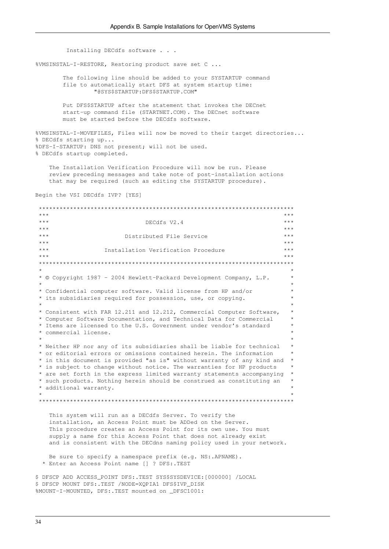Installing DECdfs software . . . %VMSINSTAL-I-RESTORE, Restoring product save set C ... The following line should be added to your SYSTARTUP command file to automatically start DFS at system startup time: "@SYS\$STARTUP:DFS\$STARTUP.COM" Put DFS\$STARTUP after the statement that invokes the DECnet start-up command file (STARTNET.COM). The DECnet software must be started before the DECdfs software. %VMSINSTAL-I-MOVEFILES, Files will now be moved to their target directories... % DECdfs starting up... %DFS-I-STARTUP: DNS not present; will not be used. % DECdfs startup completed. The Installation Verification Procedure will now be run. Please review preceding messages and take note of post-installation actions that may be required (such as editing the SYSTARTUP procedure). Begin the VSI DECdfs IVP? [YES] \*\*\*\*\*\*\*\*\*\*\*\*\*\*\*\*\*\*\*\*\*\*\*\*\*\*\*\*\*\*\*\*\*\*\*\*\*\*\*\*\*\*\*\*\*\*\*\*\*\*\*\*\*\*\*\*\*\*\*\*\*\*\*\*\*\*\*\*\*\*\*\*\*\*  $\star \star \star$   $\star$  \*\*\* DECdfs V2.4 \*\*\*  $\star \star \star$  \*\*\* Distributed File Service \*\*\*  $\star \star \star$  \*\*\* Installation Verification Procedure \*\*\*  $\star \star \star$   $\star$  \*\*\*\*\*\*\*\*\*\*\*\*\*\*\*\*\*\*\*\*\*\*\*\*\*\*\*\*\*\*\*\*\*\*\*\*\*\*\*\*\*\*\*\*\*\*\*\*\*\*\*\*\*\*\*\*\*\*\*\*\*\*\*\*\*\*\*\*\*\*\*\*\*\*  $\star$  \* \* © Copyright 1987 - 2004 Hewlett-Packard Development Company, L.P. \*  $\star$  \* \* Confidential computer software. Valid license from HP and/or \* \* its subsidiaries required for possession, use, or copying. \*  $\star$   $\star$  \* Consistent with FAR 12.211 and 12.212, Commercial Computer Software, \* \* Computer Software Documentation, and Technical Data for Commercial \* \* Items are licensed to the U.S. Government under vendor's standard \* \* commercial license. \*  $\star$   $\star$  \* Neither HP nor any of its subsidiaries shall be liable for technical \* \* or editorial errors or omissions contained herein. The information \* \* in this document is provided "as is" without warranty of any kind and \* \* is subject to change without notice. The warranties for HP products \* \* are set forth in the express limited warranty statements accompanying \* \* such products. Nothing herein should be construed as constituting an \* \* additional warranty. \*  $\star$  \* \*\*\*\*\*\*\*\*\*\*\*\*\*\*\*\*\*\*\*\*\*\*\*\*\*\*\*\*\*\*\*\*\*\*\*\*\*\*\*\*\*\*\*\*\*\*\*\*\*\*\*\*\*\*\*\*\*\*\*\*\*\*\*\*\*\*\*\*\*\*\*\*\*\* This system will run as a DECdfs Server. To verify the installation, an Access Point must be ADDed on the Server. This procedure creates an Access Point for its own use. You must supply a name for this Access Point that does not already exist and is consistent with the DECdns naming policy used in your network. Be sure to specify a namespace prefix (e.g. NS:.APNAME). \* Enter an Access Point name [] ? DFS:.TEST \$ DFSCP ADD ACCESS\_POINT DFS:.TEST SYS\$SYSDEVICE:[000000] /LOCAL \$ DFSCP MOUNT DFS:.TEST /NODE=XQPIA1 DFS\$IVP\_DISK

%MOUNT-I-MOUNTED, DFS:.TEST mounted on \_DFSC1001: